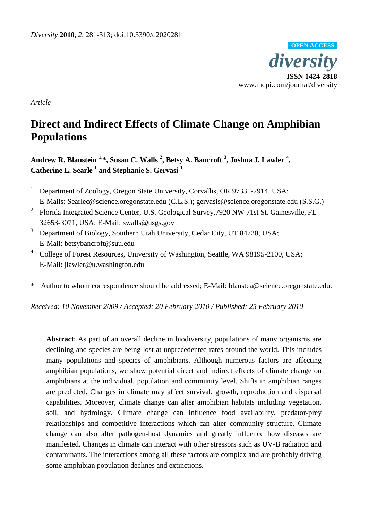

*Article*

# **Direct and Indirect Effects of Climate Change on Amphibian Populations**

**Andrew R. Blaustein 1, \*, Susan C. Walls <sup>2</sup> , Betsy A. Bancroft <sup>3</sup> , Joshua J. Lawler <sup>4</sup> , Catherine L. Searle <sup>1</sup> and Stephanie S. Gervasi <sup>1</sup>**

- <sup>1</sup> Department of Zoology, Oregon State University, Corvallis, OR 97331-2914, USA; E-Mails: Searlec@science.oregonstate.edu (C.L.S.); gervasis@science.oregonstate.edu (S.S.G.)
- <sup>2</sup> Florida Integrated Science Center, U.S. Geological Survey, 7920 NW 71st St. Gainesville, FL 32653-3071, USA; E-Mail: swalls@usgs.gov
- <sup>3</sup> Department of Biology, Southern Utah University, Cedar City, UT 84720, USA; E-Mail: betsybancroft@suu.edu
- <sup>4</sup> College of Forest Resources, University of Washington, Seattle, WA 98195-2100, USA; E-Mail: jlawler@u.washington.edu
- \* Author to whom correspondence should be addressed; E-Mail: blaustea@science.oregonstate.edu.

*Received: 10 November 2009 / Accepted: 20 February 2010 / Published: 25 February 2010*

**Abstract:** As part of an overall decline in biodiversity, populations of many organisms are declining and species are being lost at unprecedented rates around the world. This includes many populations and species of amphibians. Although numerous factors are affecting amphibian populations, we show potential direct and indirect effects of climate change on amphibians at the individual, population and community level. Shifts in amphibian ranges are predicted. Changes in climate may affect survival, growth, reproduction and dispersal capabilities. Moreover, climate change can alter amphibian habitats including vegetation, soil, and hydrology. Climate change can influence food availability, predator-prey relationships and competitive interactions which can alter community structure. Climate change can also alter pathogen-host dynamics and greatly influence how diseases are manifested. Changes in climate can interact with other stressors such as UV-B radiation and contaminants. The interactions among all these factors are complex and are probably driving some amphibian population declines and extinctions.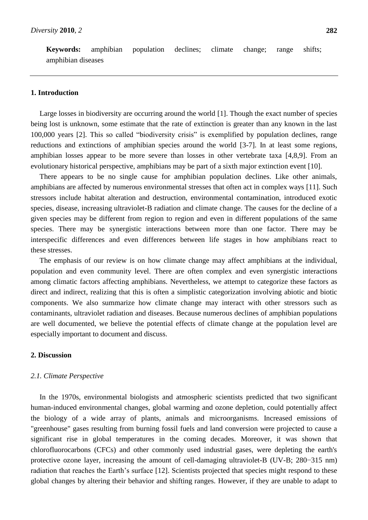**Keywords:** amphibian population declines; climate change; range shifts; amphibian diseases

# **1. Introduction**

Large losses in biodiversity are occurring around the world [1]. Though the exact number of species being lost is unknown, some estimate that the rate of extinction is greater than any known in the last 100,000 years [2]. This so called "biodiversity crisis" is exemplified by population declines, range reductions and extinctions of amphibian species around the world [3-7]. In at least some regions, amphibian losses appear to be more severe than losses in other vertebrate taxa [4,8,9]. From an evolutionary historical perspective, amphibians may be part of a sixth major extinction event [10].

There appears to be no single cause for amphibian population declines. Like other animals, amphibians are affected by numerous environmental stresses that often act in complex ways [11]. Such stressors include habitat alteration and destruction, environmental contamination, introduced exotic species, disease, increasing ultraviolet-B radiation and climate change. The causes for the decline of a given species may be different from region to region and even in different populations of the same species. There may be synergistic interactions between more than one factor. There may be interspecific differences and even differences between life stages in how amphibians react to these stresses.

The emphasis of our review is on how climate change may affect amphibians at the individual, population and even community level. There are often complex and even synergistic interactions among climatic factors affecting amphibians. Nevertheless, we attempt to categorize these factors as direct and indirect, realizing that this is often a simplistic categorization involving abiotic and biotic components. We also summarize how climate change may interact with other stressors such as contaminants, ultraviolet radiation and diseases. Because numerous declines of amphibian populations are well documented, we believe the potential effects of climate change at the population level are especially important to document and discuss.

## **2. Discussion**

## *2.1. Climate Perspective*

In the 1970s, environmental biologists and atmospheric scientists predicted that two significant human-induced environmental changes, global warming and ozone depletion, could potentially affect the biology of a wide array of plants, animals and microorganisms. Increased emissions of "greenhouse" gases resulting from burning fossil fuels and land conversion were projected to cause a significant rise in global temperatures in the coming decades. Moreover, it was shown that chlorofluorocarbons (CFCs) and other commonly used industrial gases, were depleting the earth's protective ozone layer, increasing the amount of cell-damaging ultraviolet-B (UV-B; 280−315 nm) radiation that reaches the Earth's surface [12]. Scientists projected that species might respond to these global changes by altering their behavior and shifting ranges. However, if they are unable to adapt to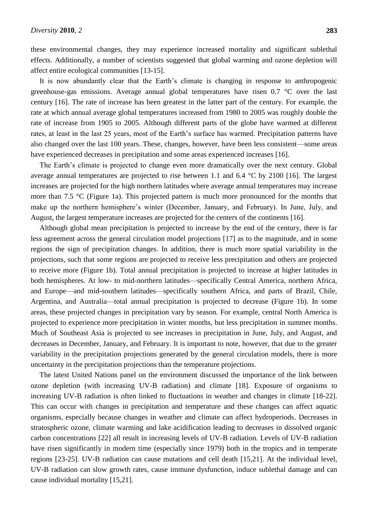these environmental changes, they may experience increased mortality and significant sublethal effects. Additionally, a number of scientists suggested that global warming and ozone depletion will affect entire ecological communities [13-15].

It is now abundantly clear that the Earth's climate is changing in response to anthropogenic greenhouse-gas emissions. Average annual global temperatures have risen  $0.7 \text{ }^{\circ}$  C over the last century [16]. The rate of increase has been greatest in the latter part of the century. For example, the rate at which annual average global temperatures increased from 1980 to 2005 was roughly double the rate of increase from 1905 to 2005. Although different parts of the globe have warmed at different rates, at least in the last 25 years, most of the Earth's surface has warmed. Precipitation patterns have also changed over the last 100 years. These, changes, however, have been less consistent—some areas have experienced decreases in precipitation and some areas experienced increases [16].

The Earth's climate is projected to change even more dramatically over the next century. Global average annual temperatures are projected to rise between 1.1 and 6.4  $\degree$  by 2100 [16]. The largest increases are projected for the high northern latitudes where average annual temperatures may increase more than 7.5  $\mathcal C$  (Figure 1a). This projected pattern is much more pronounced for the months that make up the northern hemisphere's winter (December, January, and February). In June, July, and August, the largest temperature increases are projected for the centers of the continents [16].

Although global mean precipitation is projected to increase by the end of the century, there is far less agreement across the general circulation model projections [17] as to the magnitude, and in some regions the sign of precipitation changes. In addition, there is much more spatial variability in the projections, such that some regions are projected to receive less precipitation and others are projected to receive more (Figure 1b). Total annual precipitation is projected to increase at higher latitudes in both hemispheres. At low- to mid-northern latitudes—specifically Central America, northern Africa, and Europe—and mid-southern latitudes—specifically southern Africa, and parts of Brazil, Chile, Argentina, and Australia—total annual precipitation is projected to decrease (Figure 1b). In some areas, these projected changes in precipitation vary by season. For example, central North America is projected to experience more precipitation in winter months, but less precipitation in summer months. Much of Southeast Asia is projected to see increases in precipitation in June, July, and August, and decreases in December, January, and February. It is important to note, however, that due to the greater variability in the precipitation projections generated by the general circulation models, there is more uncertainty in the precipitation projections than the temperature projections.

The latest United Nations panel on the environment discussed the importance of the link between ozone depletion (with increasing UV-B radiation) and climate [18]. Exposure of organisms to increasing UV-B radiation is often linked to fluctuations in weather and changes in climate [18-22]. This can occur with changes in precipitation and temperature and these changes can affect aquatic organisms, especially because changes in weather and climate can affect hydroperiods. Decreases in stratospheric ozone, climate warming and lake acidification leading to decreases in dissolved organic carbon concentrations [22] all result in increasing levels of UV-B radiation. Levels of UV-B radiation have risen significantly in modern time (especially since 1979) both in the tropics and in temperate regions [23-25]. UV-B radiation can cause mutations and cell death [15,21]. At the individual level, UV-B radiation can slow growth rates, cause immune dysfunction, induce sublethal damage and can cause individual mortality [15,21].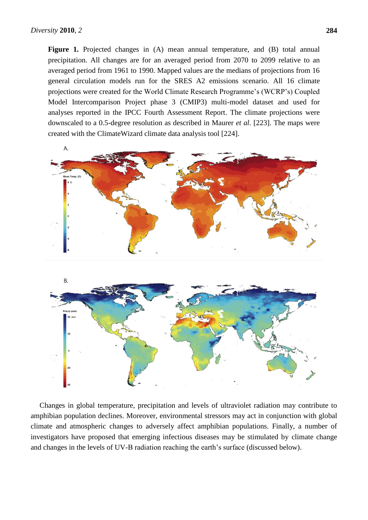**Figure 1.** Projected changes in (A) mean annual temperature, and (B) total annual precipitation. All changes are for an averaged period from 2070 to 2099 relative to an averaged period from 1961 to 1990. Mapped values are the medians of projections from 16 general circulation models run for the SRES A2 emissions scenario. All 16 climate projections were created for the World Climate Research Programme's (WCRP's) Coupled Model Intercomparison Project phase 3 (CMIP3) multi-model dataset and used for analyses reported in the IPCC Fourth Assessment Report. The climate projections were downscaled to a 0.5-degree resolution as described in Maurer *et al*. [223]. The maps were created with the ClimateWizard climate data analysis tool [224].



Changes in global temperature, precipitation and levels of ultraviolet radiation may contribute to amphibian population declines. Moreover, environmental stressors may act in conjunction with global climate and atmospheric changes to adversely affect amphibian populations. Finally, a number of investigators have proposed that emerging infectious diseases may be stimulated by climate change and changes in the levels of UV-B radiation reaching the earth's surface (discussed below).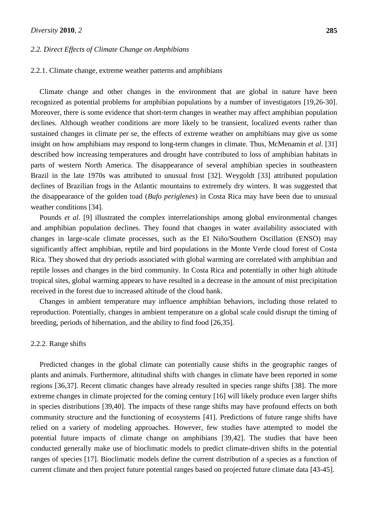## *2.2. Direct Effects of Climate Change on Amphibians*

## 2.2.1. Climate change, extreme weather patterns and amphibians

Climate change and other changes in the environment that are global in nature have been recognized as potential problems for amphibian populations by a number of investigators [19,26-30]. Moreover, there is some evidence that short-term changes in weather may affect amphibian population declines. Although weather conditions are more likely to be transient, localized events rather than sustained changes in climate per se, the effects of extreme weather on amphibians may give us some insight on how amphibians may respond to long-term changes in climate. Thus, McMenamin *et al*. [31] described how increasing temperatures and drought have contributed to loss of amphibian habitats in parts of western North America. The disappearance of several amphibian species in southeastern Brazil in the late 1970s was attributed to unusual frost [32]. Weygoldt [33] attributed population declines of Brazilian frogs in the Atlantic mountains to extremely dry winters. It was suggested that the disappearance of the golden toad (*Bufo periglenes*) in Costa Rica may have been due to unusual weather conditions [34].

Pounds *et al*. [9] illustrated the complex interrelationships among global environmental changes and amphibian population declines. They found that changes in water availability associated with changes in large-scale climate processes, such as the El Niño/Southern Oscillation (ENSO) may significantly affect amphibian, reptile and bird populations in the Monte Verde cloud forest of Costa Rica. They showed that dry periods associated with global warming are correlated with amphibian and reptile losses and changes in the bird community. In Costa Rica and potentially in other high altitude tropical sites, global warming appears to have resulted in a decrease in the amount of mist precipitation received in the forest due to increased altitude of the cloud bank.

Changes in ambient temperature may influence amphibian behaviors, including those related to reproduction. Potentially, changes in ambient temperature on a global scale could disrupt the timing of breeding, periods of hibernation, and the ability to find food [26,35].

#### 2.2.2. Range shifts

Predicted changes in the global climate can potentially cause shifts in the geographic ranges of plants and animals. Furthermore, altitudinal shifts with changes in climate have been reported in some regions [36,37]. Recent climatic changes have already resulted in species range shifts [38]. The more extreme changes in climate projected for the coming century [16] will likely produce even larger shifts in species distributions [39,40]. The impacts of these range shifts may have profound effects on both community structure and the functioning of ecosystems [41]. Predictions of future range shifts have relied on a variety of modeling approaches. However, few studies have attempted to model the potential future impacts of climate change on amphibians [39,42]. The studies that have been conducted generally make use of bioclimatic models to predict climate-driven shifts in the potential ranges of species [17]. Bioclimatic models define the current distribution of a species as a function of current climate and then project future potential ranges based on projected future climate data [43-45].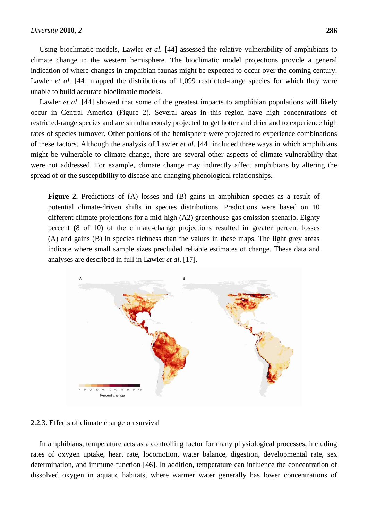Using bioclimatic models, Lawler *et al.* [44] assessed the relative vulnerability of amphibians to climate change in the western hemisphere. The bioclimatic model projections provide a general indication of where changes in amphibian faunas might be expected to occur over the coming century. Lawler *et al.* [44] mapped the distributions of 1,099 restricted-range species for which they were unable to build accurate bioclimatic models.

Lawler *et al.* [44] showed that some of the greatest impacts to amphibian populations will likely occur in Central America (Figure 2). Several areas in this region have high concentrations of restricted-range species and are simultaneously projected to get hotter and drier and to experience high rates of species turnover. Other portions of the hemisphere were projected to experience combinations of these factors. Although the analysis of Lawler *et al.* [44] included three ways in which amphibians might be vulnerable to climate change, there are several other aspects of climate vulnerability that were not addressed. For example, climate change may indirectly affect amphibians by altering the spread of or the susceptibility to disease and changing phenological relationships.

**Figure 2.** Predictions of (A) losses and (B) gains in amphibian species as a result of potential climate-driven shifts in species distributions. Predictions were based on 10 different climate projections for a mid-high (A2) greenhouse-gas emission scenario. Eighty percent (8 of 10) of the climate-change projections resulted in greater percent losses (A) and gains (B) in species richness than the values in these maps. The light grey areas indicate where small sample sizes precluded reliable estimates of change. These data and analyses are described in full in Lawler *et al*. [17].



2.2.3. Effects of climate change on survival

In amphibians, temperature acts as a controlling factor for many physiological processes, including rates of oxygen uptake, heart rate, locomotion, water balance, digestion, developmental rate, sex determination, and immune function [46]. In addition, temperature can influence the concentration of dissolved oxygen in aquatic habitats, where warmer water generally has lower concentrations of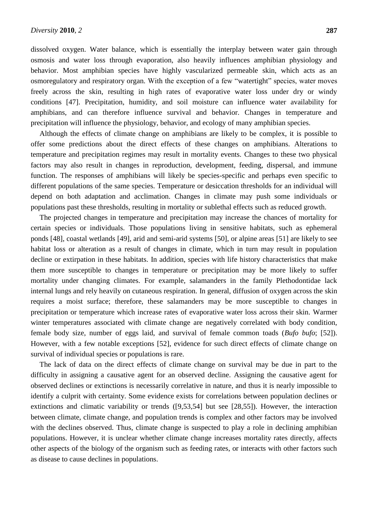dissolved oxygen. Water balance, which is essentially the interplay between water gain through osmosis and water loss through evaporation, also heavily influences amphibian physiology and behavior. Most amphibian species have highly vascularized permeable skin, which acts as an osmoregulatory and respiratory organ. With the exception of a few "watertight" species, water moves freely across the skin, resulting in high rates of evaporative water loss under dry or windy conditions [47]. Precipitation, humidity, and soil moisture can influence water availability for amphibians, and can therefore influence survival and behavior. Changes in temperature and precipitation will influence the physiology, behavior, and ecology of many amphibian species.

Although the effects of climate change on amphibians are likely to be complex, it is possible to offer some predictions about the direct effects of these changes on amphibians. Alterations to temperature and precipitation regimes may result in mortality events. Changes to these two physical factors may also result in changes in reproduction, development, feeding, dispersal, and immune function. The responses of amphibians will likely be species-specific and perhaps even specific to different populations of the same species. Temperature or desiccation thresholds for an individual will depend on both adaptation and acclimation. Changes in climate may push some individuals or populations past these thresholds, resulting in mortality or sublethal effects such as reduced growth.

The projected changes in temperature and precipitation may increase the chances of mortality for certain species or individuals. Those populations living in sensitive habitats, such as ephemeral ponds [48], coastal wetlands [49], arid and semi-arid systems [50], or alpine areas [51] are likely to see habitat loss or alteration as a result of changes in climate, which in turn may result in population decline or extirpation in these habitats. In addition, species with life history characteristics that make them more susceptible to changes in temperature or precipitation may be more likely to suffer mortality under changing climates. For example, salamanders in the family Plethodontidae lack internal lungs and rely heavily on cutaneous respiration. In general, diffusion of oxygen across the skin requires a moist surface; therefore, these salamanders may be more susceptible to changes in precipitation or temperature which increase rates of evaporative water loss across their skin. Warmer winter temperatures associated with climate change are negatively correlated with body condition, female body size, number of eggs laid, and survival of female common toads (*Bufo bufo*; [52]). However, with a few notable exceptions [52], evidence for such direct effects of climate change on survival of individual species or populations is rare.

The lack of data on the direct effects of climate change on survival may be due in part to the difficulty in assigning a causative agent for an observed decline. Assigning the causative agent for observed declines or extinctions is necessarily correlative in nature, and thus it is nearly impossible to identify a culprit with certainty. Some evidence exists for correlations between population declines or extinctions and climatic variability or trends ([9,53,54] but see [28,55]). However, the interaction between climate, climate change, and population trends is complex and other factors may be involved with the declines observed. Thus, climate change is suspected to play a role in declining amphibian populations. However, it is unclear whether climate change increases mortality rates directly, affects other aspects of the biology of the organism such as feeding rates, or interacts with other factors such as disease to cause declines in populations.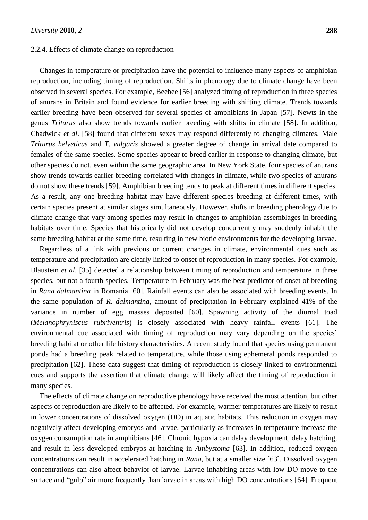#### 2.2.4. Effects of climate change on reproduction

Changes in temperature or precipitation have the potential to influence many aspects of amphibian reproduction, including timing of reproduction. Shifts in phenology due to climate change have been observed in several species. For example, Beebee [56] analyzed timing of reproduction in three species of anurans in Britain and found evidence for earlier breeding with shifting climate. Trends towards earlier breeding have been observed for several species of amphibians in Japan [57]. Newts in the genus *Triturus* also show trends towards earlier breeding with shifts in climate [58]. In addition, Chadwick *et al*. [58] found that different sexes may respond differently to changing climates. Male *Triturus helveticus* and *T. vulgaris* showed a greater degree of change in arrival date compared to females of the same species. Some species appear to breed earlier in response to changing climate, but other species do not, even within the same geographic area. In New York State, four species of anurans show trends towards earlier breeding correlated with changes in climate, while two species of anurans do not show these trends [59]. Amphibian breeding tends to peak at different times in different species. As a result, any one breeding habitat may have different species breeding at different times, with certain species present at similar stages simultaneously. However, shifts in breeding phenology due to climate change that vary among species may result in changes to amphibian assemblages in breeding habitats over time. Species that historically did not develop concurrently may suddenly inhabit the same breeding habitat at the same time, resulting in new biotic environments for the developing larvae.

Regardless of a link with previous or current changes in climate, environmental cues such as temperature and precipitation are clearly linked to onset of reproduction in many species. For example, Blaustein *et al*. [35] detected a relationship between timing of reproduction and temperature in three species, but not a fourth species. Temperature in February was the best predictor of onset of breeding in *Rana dalmantina* in Romania [60]. Rainfall events can also be associated with breeding events. In the same population of *R. dalmantina*, amount of precipitation in February explained 41% of the variance in number of egg masses deposited [60]. Spawning activity of the diurnal toad (*Melanophryniscus rubriventris*) is closely associated with heavy rainfall events [61]. The environmental cue associated with timing of reproduction may vary depending on the species' breeding habitat or other life history characteristics. A recent study found that species using permanent ponds had a breeding peak related to temperature, while those using ephemeral ponds responded to precipitation [62]. These data suggest that timing of reproduction is closely linked to environmental cues and supports the assertion that climate change will likely affect the timing of reproduction in many species.

The effects of climate change on reproductive phenology have received the most attention, but other aspects of reproduction are likely to be affected. For example, warmer temperatures are likely to result in lower concentrations of dissolved oxygen (DO) in aquatic habitats. This reduction in oxygen may negatively affect developing embryos and larvae, particularly as increases in temperature increase the oxygen consumption rate in amphibians [46]. Chronic hypoxia can delay development, delay hatching, and result in less developed embryos at hatching in *Ambystoma* [63]. In addition, reduced oxygen concentrations can result in accelerated hatching in *Rana*, but at a smaller size [63]. Dissolved oxygen concentrations can also affect behavior of larvae. Larvae inhabiting areas with low DO move to the surface and "gulp" air more frequently than larvae in areas with high DO concentrations [64]. Frequent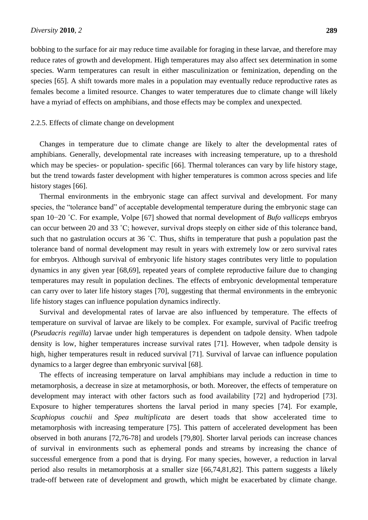bobbing to the surface for air may reduce time available for foraging in these larvae, and therefore may reduce rates of growth and development. High temperatures may also affect sex determination in some species. Warm temperatures can result in either masculinization or feminization, depending on the species [65]. A shift towards more males in a population may eventually reduce reproductive rates as females become a limited resource. Changes to water temperatures due to climate change will likely have a myriad of effects on amphibians, and those effects may be complex and unexpected.

#### 2.2.5. Effects of climate change on development

Changes in temperature due to climate change are likely to alter the developmental rates of amphibians. Generally, developmental rate increases with increasing temperature, up to a threshold which may be species- or population- specific [66]. Thermal tolerances can vary by life history stage, but the trend towards faster development with higher temperatures is common across species and life history stages [66].

Thermal environments in the embryonic stage can affect survival and development. For many species, the "tolerance band" of acceptable developmental temperature during the embryonic stage can span 10−20 ˚C. For example, Volpe [67] showed that normal development of *Bufo valliceps* embryos can occur between 20 and 33 ˚C; however, survival drops steeply on either side of this tolerance band, such that no gastrulation occurs at 36 ˚C. Thus, shifts in temperature that push a population past the tolerance band of normal development may result in years with extremely low or zero survival rates for embryos. Although survival of embryonic life history stages contributes very little to population dynamics in any given year [68,69], repeated years of complete reproductive failure due to changing temperatures may result in population declines. The effects of embryonic developmental temperature can carry over to later life history stages [70], suggesting that thermal environments in the embryonic life history stages can influence population dynamics indirectly.

Survival and developmental rates of larvae are also influenced by temperature. The effects of temperature on survival of larvae are likely to be complex. For example, survival of Pacific treefrog (*Pseudacris regilla*) larvae under high temperatures is dependent on tadpole density. When tadpole density is low, higher temperatures increase survival rates [71]. However, when tadpole density is high, higher temperatures result in reduced survival [71]. Survival of larvae can influence population dynamics to a larger degree than embryonic survival [68].

The effects of increasing temperature on larval amphibians may include a reduction in time to metamorphosis, a decrease in size at metamorphosis, or both. Moreover, the effects of temperature on development may interact with other factors such as food availability [72] and hydroperiod [73]. Exposure to higher temperatures shortens the larval period in many species [74]. For example, *Scaphiopus couchii* and *Spea multiplicata* are desert toads that show accelerated time to metamorphosis with increasing temperature [75]. This pattern of accelerated development has been observed in both anurans [72,76-78] and urodels [79,80]. Shorter larval periods can increase chances of survival in environments such as ephemeral ponds and streams by increasing the chance of successful emergence from a pond that is drying. For many species, however, a reduction in larval period also results in metamorphosis at a smaller size [66,74,81,82]. This pattern suggests a likely trade-off between rate of development and growth, which might be exacerbated by climate change.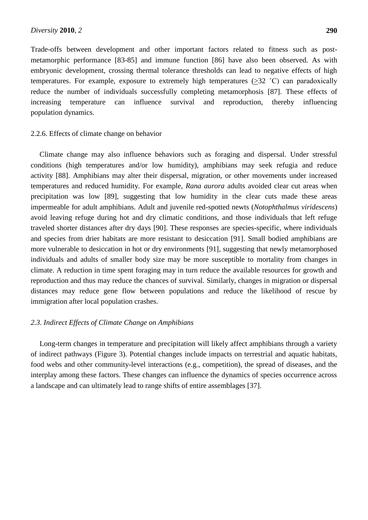Trade-offs between development and other important factors related to fitness such as postmetamorphic performance [83-85] and immune function [86] have also been observed. As with embryonic development, crossing thermal tolerance thresholds can lead to negative effects of high temperatures. For example, exposure to extremely high temperatures (>32 ˚C) can paradoxically reduce the number of individuals successfully completing metamorphosis [87]. These effects of increasing temperature can influence survival and reproduction, thereby influencing population dynamics.

#### 2.2.6. Effects of climate change on behavior

Climate change may also influence behaviors such as foraging and dispersal. Under stressful conditions (high temperatures and/or low humidity), amphibians may seek refugia and reduce activity [88]. Amphibians may alter their dispersal, migration, or other movements under increased temperatures and reduced humidity. For example, *Rana aurora* adults avoided clear cut areas when precipitation was low [89], suggesting that low humidity in the clear cuts made these areas impermeable for adult amphibians. Adult and juvenile red-spotted newts (*Notophthalmus viridescens*) avoid leaving refuge during hot and dry climatic conditions, and those individuals that left refuge traveled shorter distances after dry days [90]. These responses are species-specific, where individuals and species from drier habitats are more resistant to desiccation [91]. Small bodied amphibians are more vulnerable to desiccation in hot or dry environments [91], suggesting that newly metamorphosed individuals and adults of smaller body size may be more susceptible to mortality from changes in climate. A reduction in time spent foraging may in turn reduce the available resources for growth and reproduction and thus may reduce the chances of survival. Similarly, changes in migration or dispersal distances may reduce gene flow between populations and reduce the likelihood of rescue by immigration after local population crashes.

## *2.3. Indirect Effects of Climate Change on Amphibians*

Long-term changes in temperature and precipitation will likely affect amphibians through a variety of indirect pathways (Figure 3). Potential changes include impacts on terrestrial and aquatic habitats, food webs and other community-level interactions (e.g., competition), the spread of diseases, and the interplay among these factors. These changes can influence the dynamics of species occurrence across a landscape and can ultimately lead to range shifts of entire assemblages [37].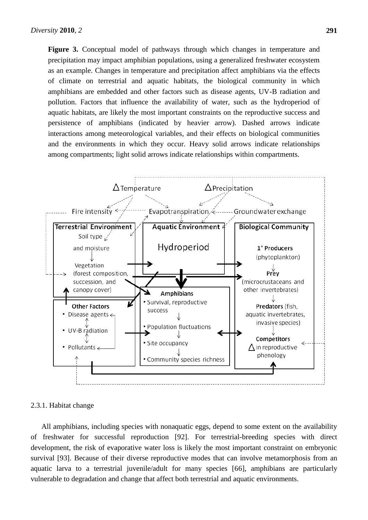**Figure 3.** Conceptual model of pathways through which changes in temperature and precipitation may impact amphibian populations, using a generalized freshwater ecosystem as an example. Changes in temperature and precipitation affect amphibians via the effects of climate on terrestrial and aquatic habitats, the biological community in which amphibians are embedded and other factors such as disease agents, UV-B radiation and pollution. Factors that influence the availability of water, such as the hydroperiod of aquatic habitats, are likely the most important constraints on the reproductive success and persistence of amphibians (indicated by heavier arrow). Dashed arrows indicate interactions among meteorological variables, and their effects on biological communities and the environments in which they occur. Heavy solid arrows indicate relationships among compartments; light solid arrows indicate relationships within compartments.



## 2.3.1. Habitat change

All amphibians, including species with nonaquatic eggs, depend to some extent on the availability of freshwater for successful reproduction [92]. For terrestrial-breeding species with direct development, the risk of evaporative water loss is likely the most important constraint on embryonic survival [93]. Because of their diverse reproductive modes that can involve metamorphosis from an aquatic larva to a terrestrial juvenile/adult for many species [66], amphibians are particularly vulnerable to degradation and change that affect both terrestrial and aquatic environments.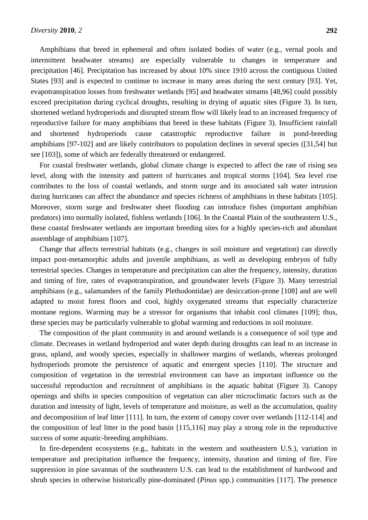Amphibians that breed in ephemeral and often isolated bodies of water (e.g., vernal pools and intermittent headwater streams) are especially vulnerable to changes in temperature and precipitation [46]. Precipitation has increased by about 10% since 1910 across the contiguous United States [93] and is expected to continue to increase in many areas during the next century [93]. Yet, evapotranspiration losses from freshwater wetlands [95] and headwater streams [48,96] could possibly exceed precipitation during cyclical droughts, resulting in drying of aquatic sites (Figure 3). In turn, shortened wetland hydroperiods and disrupted stream flow will likely lead to an increased frequency of reproductive failure for many amphibians that breed in these habitats (Figure 3). Insufficient rainfall and shortened hydroperiods cause catastrophic reproductive failure in pond-breeding amphibians [97-102] and are likely contributors to population declines in several species ([31,54] but see [103]), some of which are federally threatened or endangered.

For coastal freshwater wetlands, global climate change is expected to affect the rate of rising sea level, along with the intensity and pattern of hurricanes and tropical storms [104]. Sea level rise contributes to the loss of coastal wetlands, and storm surge and its associated salt water intrusion during hurricanes can affect the abundance and species richness of amphibians in these habitats [105]. Moreover, storm surge and freshwater sheet flooding can introduce fishes (important amphibian predators) into normally isolated, fishless wetlands [106]. In the Coastal Plain of the southeastern U.S., these coastal freshwater wetlands are important breeding sites for a highly species-rich and abundant assemblage of amphibians [107].

Change that affects terrestrial habitats (e.g., changes in soil moisture and vegetation) can directly impact post-metamorphic adults and juvenile amphibians, as well as developing embryos of fully terrestrial species. Changes in temperature and precipitation can alter the frequency, intensity, duration and timing of fire, rates of evapotranspiration, and groundwater levels (Figure 3). Many terrestrial amphibians (e.g., salamanders of the family Plethodontidae) are desiccation-prone [108] and are well adapted to moist forest floors and cool, highly oxygenated streams that especially characterize montane regions. Warming may be a stressor for organisms that inhabit cool climates [109]; thus, these species may be particularly vulnerable to global warming and reductions in soil moisture.

The composition of the plant community in and around wetlands is a consequence of soil type and climate. Decreases in wetland hydroperiod and water depth during droughts can lead to an increase in grass, upland, and woody species, especially in shallower margins of wetlands, whereas prolonged hydroperiods promote the persistence of aquatic and emergent species [110]. The structure and composition of vegetation in the terrestrial environment can have an important influence on the successful reproduction and recruitment of amphibians in the aquatic habitat (Figure 3). Canopy openings and shifts in species composition of vegetation can alter microclimatic factors such as the duration and intensity of light, levels of temperature and moisture, as well as the accumulation, quality and decomposition of leaf litter [111]. In turn, the extent of canopy cover over wetlands [112-114] and the composition of leaf litter in the pond basin [115,116] may play a strong role in the reproductive success of some aquatic-breeding amphibians.

In fire-dependent ecosystems (e.g., habitats in the western and southeastern U.S.), variation in temperature and precipitation influence the frequency, intensity, duration and timing of fire. Fire suppression in pine savannas of the southeastern U.S. can lead to the establishment of hardwood and shrub species in otherwise historically pine-dominated (*Pinus* spp.) communities [117]. The presence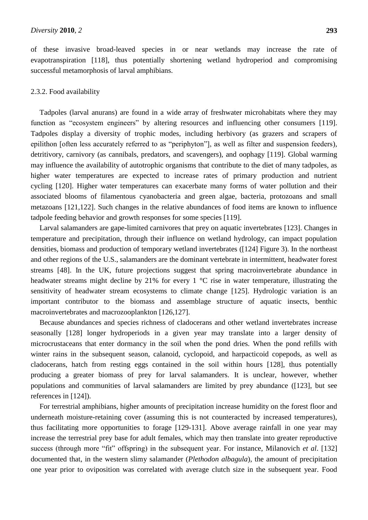of these invasive broad-leaved species in or near wetlands may increase the rate of evapotranspiration [118], thus potentially shortening wetland hydroperiod and compromising successful metamorphosis of larval amphibians.

## 2.3.2. Food availability

Tadpoles (larval anurans) are found in a wide array of freshwater microhabitats where they may function as "ecosystem engineers" by altering resources and influencing other consumers [119]. Tadpoles display a diversity of trophic modes, including herbivory (as grazers and scrapers of epilithon [often less accurately referred to as "periphyton"], as well as filter and suspension feeders), detritivory, carnivory (as cannibals, predators, and scavengers), and oophagy [119]. Global warming may influence the availability of autotrophic organisms that contribute to the diet of many tadpoles, as higher water temperatures are expected to increase rates of primary production and nutrient cycling [120]. Higher water temperatures can exacerbate many forms of water pollution and their associated blooms of filamentous cyanobacteria and green algae, bacteria, protozoans and small metazoans [121,122]. Such changes in the relative abundances of food items are known to influence tadpole feeding behavior and growth responses for some species [119].

Larval salamanders are gape-limited carnivores that prey on aquatic invertebrates [123]. Changes in temperature and precipitation, through their influence on wetland hydrology, can impact population densities, biomass and production of temporary wetland invertebrates ([124] Figure 3). In the northeast and other regions of the U.S., salamanders are the dominant vertebrate in intermittent, headwater forest streams [48]. In the UK, future projections suggest that spring macroinvertebrate abundance in headwater streams might decline by 21% for every 1  $\degree$  rise in water temperature, illustrating the sensitivity of headwater stream ecosystems to climate change [125]. Hydrologic variation is an important contributor to the biomass and assemblage structure of aquatic insects, benthic macroinvertebrates and macrozooplankton [126,127].

Because abundances and species richness of cladocerans and other wetland invertebrates increase seasonally [128] longer hydroperiods in a given year may translate into a larger density of microcrustaceans that enter dormancy in the soil when the pond dries. When the pond refills with winter rains in the subsequent season, calanoid, cyclopoid, and harpacticoid copepods, as well as cladocerans, hatch from resting eggs contained in the soil within hours [128], thus potentially producing a greater biomass of prey for larval salamanders. It is unclear, however, whether populations and communities of larval salamanders are limited by prey abundance ([123], but see references in [124]).

For terrestrial amphibians, higher amounts of precipitation increase humidity on the forest floor and underneath moisture-retaining cover (assuming this is not counteracted by increased temperatures), thus facilitating more opportunities to forage [129-131]. Above average rainfall in one year may increase the terrestrial prey base for adult females, which may then translate into greater reproductive success (through more "fit" offspring) in the subsequent year. For instance, Milanovich *et al*. [132] documented that, in the western slimy salamander (*Plethodon albagula*), the amount of precipitation one year prior to oviposition was correlated with average clutch size in the subsequent year. Food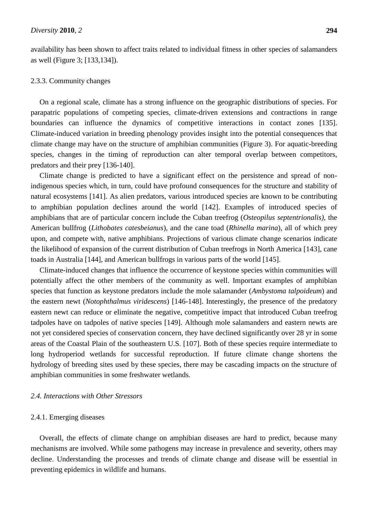availability has been shown to affect traits related to individual fitness in other species of salamanders as well (Figure 3; [133,134]).

#### 2.3.3. Community changes

On a regional scale, climate has a strong influence on the geographic distributions of species. For parapatric populations of competing species, climate-driven extensions and contractions in range boundaries can influence the dynamics of competitive interactions in contact zones [135]. Climate-induced variation in breeding phenology provides insight into the potential consequences that climate change may have on the structure of amphibian communities (Figure 3). For aquatic-breeding species, changes in the timing of reproduction can alter temporal overlap between competitors, predators and their prey [136-140].

Climate change is predicted to have a significant effect on the persistence and spread of nonindigenous species which, in turn, could have profound consequences for the structure and stability of natural ecosystems [141]. As alien predators, various introduced species are known to be contributing to amphibian population declines around the world [142]. Examples of introduced species of amphibians that are of particular concern include the Cuban treefrog (*Osteopilus septentrionalis)*, the American bullfrog (*Lithobates catesbeianus*), and the cane toad (*Rhinella marina*), all of which prey upon, and compete with, native amphibians. Projections of various climate change scenarios indicate the likelihood of expansion of the current distribution of Cuban treefrogs in North America [143], cane toads in Australia [144], and American bullfrogs in various parts of the world [145].

Climate-induced changes that influence the occurrence of keystone species within communities will potentially affect the other members of the community as well. Important examples of amphibian species that function as keystone predators include the mole salamander (*Ambystoma talpoideum*) and the eastern newt (*Notophthalmus viridescens*) [146-148]. Interestingly, the presence of the predatory eastern newt can reduce or eliminate the negative, competitive impact that introduced Cuban treefrog tadpoles have on tadpoles of native species [149]. Although mole salamanders and eastern newts are not yet considered species of conservation concern, they have declined significantly over 28 yr in some areas of the Coastal Plain of the southeastern U.S. [107]. Both of these species require intermediate to long hydroperiod wetlands for successful reproduction. If future climate change shortens the hydrology of breeding sites used by these species, there may be cascading impacts on the structure of amphibian communities in some freshwater wetlands.

# *2.4. Interactions with Other Stressors*

#### 2.4.1. Emerging diseases

Overall, the effects of climate change on amphibian diseases are hard to predict, because many mechanisms are involved. While some pathogens may increase in prevalence and severity, others may decline. Understanding the processes and trends of climate change and disease will be essential in preventing epidemics in wildlife and humans.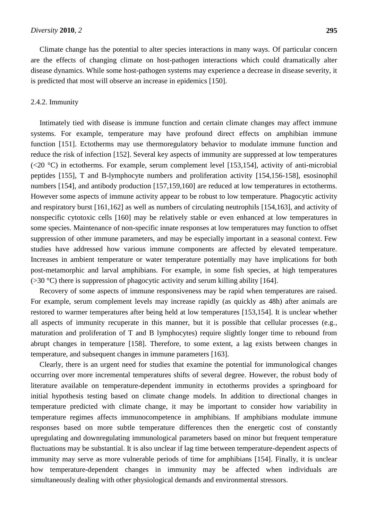Climate change has the potential to alter species interactions in many ways. Of particular concern are the effects of changing climate on host-pathogen interactions which could dramatically alter disease dynamics. While some host-pathogen systems may experience a decrease in disease severity, it is predicted that most will observe an increase in epidemics [150].

## 2.4.2. Immunity

Intimately tied with disease is immune function and certain climate changes may affect immune systems. For example, temperature may have profound direct effects on amphibian immune function [151]. Ectotherms may use thermoregulatory behavior to modulate immune function and reduce the risk of infection [152]. Several key aspects of immunity are suppressed at low temperatures  $(\leq 20 \text{ C})$  in ectotherms. For example, serum complement level [153,154], activity of anti-microbial peptides [155], T and B-lymphocyte numbers and proliferation activity [154,156-158], esosinophil numbers [154], and antibody production [157,159,160] are reduced at low temperatures in ectotherms. However some aspects of immune activity appear to be robust to low temperature. Phagocytic activity and respiratory burst [161,162] as well as numbers of circulating neutrophils [154,163], and activity of nonspecific cytotoxic cells [160] may be relatively stable or even enhanced at low temperatures in some species. Maintenance of non-specific innate responses at low temperatures may function to offset suppression of other immune parameters, and may be especially important in a seasonal context. Few studies have addressed how various immune components are affected by elevated temperature. Increases in ambient temperature or water temperature potentially may have implications for both post-metamorphic and larval amphibians. For example, in some fish species, at high temperatures  $(>30 \text{ C})$  there is suppression of phagocytic activity and serum killing ability [164].

Recovery of some aspects of immune responsiveness may be rapid when temperatures are raised. For example, serum complement levels may increase rapidly (as quickly as 48h) after animals are restored to warmer temperatures after being held at low temperatures [153,154]. It is unclear whether all aspects of immunity recuperate in this manner, but it is possible that cellular processes (e.g., maturation and proliferation of T and B lymphocytes) require slightly longer time to rebound from abrupt changes in temperature [158]. Therefore, to some extent, a lag exists between changes in temperature, and subsequent changes in immune parameters [163].

Clearly, there is an urgent need for studies that examine the potential for immunological changes occurring over more incremental temperatures shifts of several degree. However, the robust body of literature available on temperature-dependent immunity in ectotherms provides a springboard for initial hypothesis testing based on climate change models. In addition to directional changes in temperature predicted with climate change, it may be important to consider how variability in temperature regimes affects immunocompetence in amphibians. If amphibians modulate immune responses based on more subtle temperature differences then the energetic cost of constantly upregulating and downregulating immunological parameters based on minor but frequent temperature fluctuations may be substantial. It is also unclear if lag time between temperature-dependent aspects of immunity may serve as more vulnerable periods of time for amphibians [154]. Finally, it is unclear how temperature-dependent changes in immunity may be affected when individuals are simultaneously dealing with other physiological demands and environmental stressors.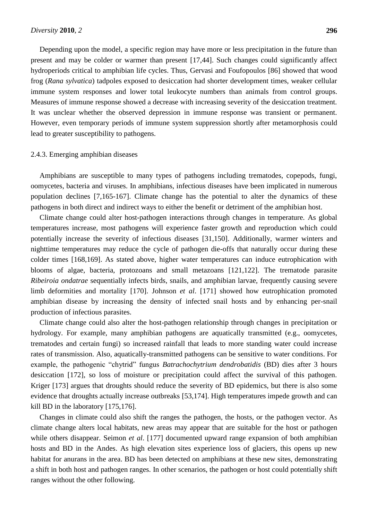Depending upon the model, a specific region may have more or less precipitation in the future than present and may be colder or warmer than present [17,44]. Such changes could significantly affect hydroperiods critical to amphibian life cycles. Thus, Gervasi and Foufopoulos [86] showed that wood frog (*Rana sylvatica*) tadpoles exposed to desiccation had shorter development times, weaker cellular immune system responses and lower total leukocyte numbers than animals from control groups. Measures of immune response showed a decrease with increasing severity of the desiccation treatment. It was unclear whether the observed depression in immune response was transient or permanent. However, even temporary periods of immune system suppression shortly after metamorphosis could lead to greater susceptibility to pathogens.

## 2.4.3. Emerging amphibian diseases

Amphibians are susceptible to many types of pathogens including trematodes, copepods, fungi, oomycetes, bacteria and viruses. In amphibians, infectious diseases have been implicated in numerous population declines [7,165-167]. Climate change has the potential to alter the dynamics of these pathogens in both direct and indirect ways to either the benefit or detriment of the amphibian host.

Climate change could alter host-pathogen interactions through changes in temperature. As global temperatures increase, most pathogens will experience faster growth and reproduction which could potentially increase the severity of infectious diseases [31,150]. Additionally, warmer winters and nighttime temperatures may reduce the cycle of pathogen die-offs that naturally occur during these colder times [168,169]. As stated above, higher water temperatures can induce eutrophication with blooms of algae, bacteria, protozoans and small metazoans [121,122]. The trematode parasite *Ribeiroia ondatrae* sequentially infects birds, snails, and amphibian larvae, frequently causing severe limb deformities and mortality [170]. Johnson *et al*. [171] showed how eutrophication promoted amphibian disease by increasing the density of infected snail hosts and by enhancing per-snail production of infectious parasites.

Climate change could also alter the host-pathogen relationship through changes in precipitation or hydrology. For example, many amphibian pathogens are aquatically transmitted (e.g., oomycetes, trematodes and certain fungi) so increased rainfall that leads to more standing water could increase rates of transmission. Also, aquatically-transmitted pathogens can be sensitive to water conditions. For example, the pathogenic "chytrid" fungus *Batrachochytrium dendrobatidis* (BD) dies after 3 hours desiccation [172], so loss of moisture or precipitation could affect the survival of this pathogen. Kriger [173] argues that droughts should reduce the severity of BD epidemics, but there is also some evidence that droughts actually increase outbreaks [53,174]. High temperatures impede growth and can kill BD in the laboratory [175,176].

Changes in climate could also shift the ranges the pathogen, the hosts, or the pathogen vector. As climate change alters local habitats, new areas may appear that are suitable for the host or pathogen while others disappear. Seimon *et al*. [177] documented upward range expansion of both amphibian hosts and BD in the Andes. As high elevation sites experience loss of glaciers, this opens up new habitat for anurans in the area. BD has been detected on amphibians at these new sites, demonstrating a shift in both host and pathogen ranges. In other scenarios, the pathogen or host could potentially shift ranges without the other following.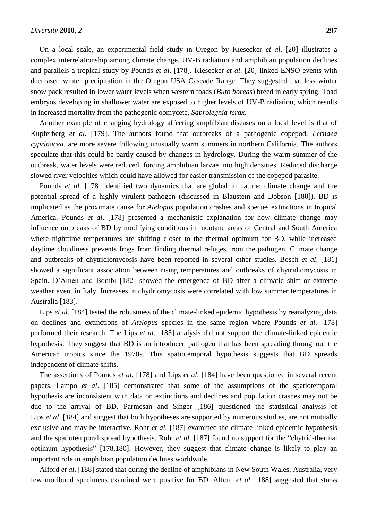On a local scale, an experimental field study in Oregon by Kiesecker *et al*. [20] illustrates a complex interrelationship among climate change, UV-B radiation and amphibian population declines and parallels a tropical study by Pounds *et al*. [178]. Kiesecker *et al*. [20] linked ENSO events with decreased winter precipitation in the Oregon USA Cascade Range. They suggested that less winter snow pack resulted in lower water levels when western toads (*Bufo boreas*) breed in early spring. Toad embryos developing in shallower water are exposed to higher levels of UV-B radiation, which results in increased mortality from the pathogenic oomycete, *Saprolegnia ferax*.

Another example of changing hydrology affecting amphibian diseases on a local level is that of Kupferberg *et al*. [179]. The authors found that outbreaks of a pathogenic copepod, *Lernaea cyprinacea*, are more severe following unusually warm summers in northern California. The authors speculate that this could be partly caused by changes in hydrology. During the warm summer of the outbreak, water levels were reduced, forcing amphibian larvae into high densities. Reduced discharge slowed river velocities which could have allowed for easier transmission of the copepod parasite.

Pounds *et al*. [178] identified two dynamics that are global in nature: climate change and the potential spread of a highly virulent pathogen (discussed in Blaustein and Dobson [180]). BD is implicated as the proximate cause for *Atelopus* population crashes and species extinctions in tropical America. Pounds *et al*. [178] presented a mechanistic explanation for how climate change may influence outbreaks of BD by modifying conditions in montane areas of Central and South America where nighttime temperatures are shifting closer to the thermal optimum for BD, while increased daytime cloudiness prevents frogs from finding thermal refuges from the pathogen. Climate change and outbreaks of chytridiomycosis have been reported in several other studies. Bosch *et al*. [181] showed a significant association between rising temperatures and outbreaks of chytridiomycosis in Spain. D'Amen and Bombi [182] showed the emergence of BD after a climatic shift or extreme weather event in Italy. Increases in chydriomycosis were correlated with low summer temperatures in Australia [183].

Lips *et al.* [184] tested the robustness of the climate-linked epidemic hypothesis by reanalyzing data on declines and extinctions of *Atelopus* species in the same region where Pounds *et al*. [178] performed their research. The Lips *et al*. [185] analysis did not support the climate-linked epidemic hypothesis. They suggest that BD is an introduced pathogen that has been spreading throughout the American tropics since the 1970s. This spatiotemporal hypothesis suggests that BD spreads independent of climate shifts.

The assertions of Pounds *et al*. [178] and Lips *et al*. [184] have been questioned in several recent papers. Lampo *et al*. [185] demonstrated that some of the assumptions of the spatiotemporal hypothesis are inconsistent with data on extinctions and declines and population crashes may not be due to the arrival of BD. Parmesan and Singer [186] questioned the statistical analysis of Lips *et al.* [184] and suggest that both hypotheses are supported by numerous studies, are not mutually exclusive and may be interactive. Rohr *et al*. [187] examined the climate-linked epidemic hypothesis and the spatiotemporal spread hypothesis. Rohr *et al*. [187] found no support for the "chytrid-thermal optimum hypothesis" [178,180]. However, they suggest that climate change is likely to play an important role in amphibian population declines worldwide.

Alford *et al*. [188] stated that during the decline of amphibians in New South Wales, Australia, very few moribund specimens examined were positive for BD. Alford *et al*. [188] suggested that stress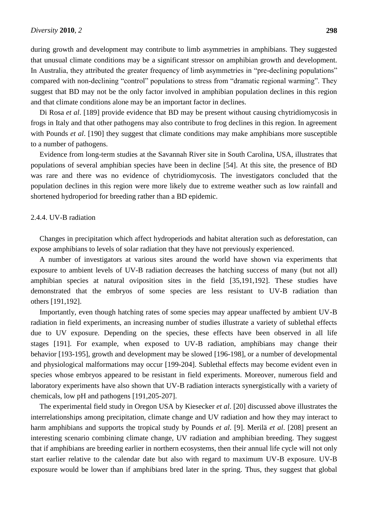during growth and development may contribute to limb asymmetries in amphibians. They suggested that unusual climate conditions may be a significant stressor on amphibian growth and development. In Australia, they attributed the greater frequency of limb asymmetries in "pre-declining populations" compared with non-declining "control" populations to stress from "dramatic regional warming". They suggest that BD may not be the only factor involved in amphibian population declines in this region and that climate conditions alone may be an important factor in declines.

Di Rosa *et al*. [189] provide evidence that BD may be present without causing chytridiomycosis in frogs in Italy and that other pathogens may also contribute to frog declines in this region. In agreement with Pounds *et al.* [190] they suggest that climate conditions may make amphibians more susceptible to a number of pathogens.

Evidence from long-term studies at the Savannah River site in South Carolina, USA, illustrates that populations of several amphibian species have been in decline [54]. At this site, the presence of BD was rare and there was no evidence of chytridiomycosis. The investigators concluded that the population declines in this region were more likely due to extreme weather such as low rainfall and shortened hydroperiod for breeding rather than a BD epidemic.

## 2.4.4. UV-B radiation

Changes in precipitation which affect hydroperiods and habitat alteration such as deforestation, can expose amphibians to levels of solar radiation that they have not previously experienced.

A number of investigators at various sites around the world have shown via experiments that exposure to ambient levels of UV-B radiation decreases the hatching success of many (but not all) amphibian species at natural oviposition sites in the field [35,191,192]. These studies have demonstrated that the embryos of some species are less resistant to UV-B radiation than others [191,192].

Importantly, even though hatching rates of some species may appear unaffected by ambient UV-B radiation in field experiments, an increasing number of studies illustrate a variety of sublethal effects due to UV exposure. Depending on the species, these effects have been observed in all life stages [191]. For example, when exposed to UV-B radiation, amphibians may change their behavior [193-195], growth and development may be slowed [196-198], or a number of developmental and physiological malformations may occur [199-204]. Sublethal effects may become evident even in species whose embryos appeared to be resistant in field experiments. Moreover, numerous field and laboratory experiments have also shown that UV-B radiation interacts synergistically with a variety of chemicals, low pH and pathogens [191,205-207].

The experimental field study in Oregon USA by Kiesecker *et al*. [20] discussed above illustrates the interrelationships among precipitation, climate change and UV radiation and how they may interact to harm amphibians and supports the tropical study by Pounds *et al*. [9]. Merilä *et al*. [208] present an interesting scenario combining climate change, UV radiation and amphibian breeding. They suggest that if amphibians are breeding earlier in northern ecosystems, then their annual life cycle will not only start earlier relative to the calendar date but also with regard to maximum UV-B exposure. UV-B exposure would be lower than if amphibians bred later in the spring. Thus, they suggest that global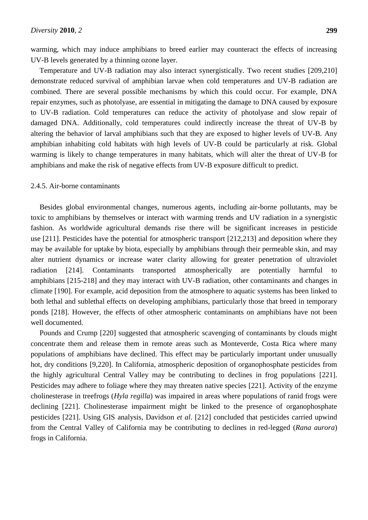warming, which may induce amphibians to breed earlier may counteract the effects of increasing UV-B levels generated by a thinning ozone layer.

Temperature and UV-B radiation may also interact synergistically. Two recent studies [209,210] demonstrate reduced survival of amphibian larvae when cold temperatures and UV-B radiation are combined. There are several possible mechanisms by which this could occur. For example, DNA repair enzymes, such as photolyase, are essential in mitigating the damage to DNA caused by exposure to UV-B radiation. Cold temperatures can reduce the activity of photolyase and slow repair of damaged DNA. Additionally, cold temperatures could indirectly increase the threat of UV-B by altering the behavior of larval amphibians such that they are exposed to higher levels of UV-B. Any amphibian inhabiting cold habitats with high levels of UV-B could be particularly at risk. Global warming is likely to change temperatures in many habitats, which will alter the threat of UV-B for amphibians and make the risk of negative effects from UV-B exposure difficult to predict.

#### 2.4.5. Air-borne contaminants

Besides global environmental changes, numerous agents, including air-borne pollutants, may be toxic to amphibians by themselves or interact with warming trends and UV radiation in a synergistic fashion. As worldwide agricultural demands rise there will be significant increases in pesticide use [211]. Pesticides have the potential for atmospheric transport [212,213] and deposition where they may be available for uptake by biota, especially by amphibians through their permeable skin, and may alter nutrient dynamics or increase water clarity allowing for greater penetration of ultraviolet radiation [214]. Contaminants transported atmospherically are potentially harmful to amphibians [215-218] and they may interact with UV-B radiation, other contaminants and changes in climate [190]. For example, acid deposition from the atmosphere to aquatic systems has been linked to both lethal and sublethal effects on developing amphibians, particularly those that breed in temporary ponds [218]. However, the effects of other atmospheric contaminants on amphibians have not been well documented.

Pounds and Crump [220] suggested that atmospheric scavenging of contaminants by clouds might concentrate them and release them in remote areas such as Monteverde, Costa Rica where many populations of amphibians have declined. This effect may be particularly important under unusually hot, dry conditions [9,220]. In California, atmospheric deposition of organophosphate pesticides from the highly agricultural Central Valley may be contributing to declines in frog populations [221]. Pesticides may adhere to foliage where they may threaten native species [221]. Activity of the enzyme cholinesterase in treefrogs (*Hyla regilla*) was impaired in areas where populations of ranid frogs were declining [221]. Cholinesterase impairment might be linked to the presence of organophosphate pesticides [221]. Using GIS analysis, Davidson *et al*. [212] concluded that pesticides carried upwind from the Central Valley of California may be contributing to declines in red-legged (*Rana aurora*) frogs in California.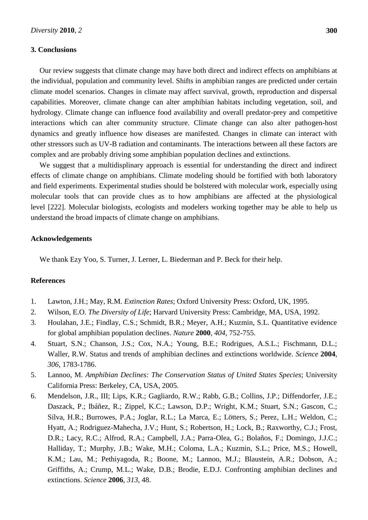## **3. Conclusions**

Our review suggests that climate change may have both direct and indirect effects on amphibians at the individual, population and community level. Shifts in amphibian ranges are predicted under certain climate model scenarios. Changes in climate may affect survival, growth, reproduction and dispersal capabilities. Moreover, climate change can alter amphibian habitats including vegetation, soil, and hydrology. Climate change can influence food availability and overall predator-prey and competitive interactions which can alter community structure. Climate change can also alter pathogen-host dynamics and greatly influence how diseases are manifested. Changes in climate can interact with other stressors such as UV-B radiation and contaminants. The interactions between all these factors are complex and are probably driving some amphibian population declines and extinctions.

We suggest that a multidisplinary approach is essential for understanding the direct and indirect effects of climate change on amphibians. Climate modeling should be fortified with both laboratory and field experiments. Experimental studies should be bolstered with molecular work, especially using molecular tools that can provide clues as to how amphibians are affected at the physiological level [222]. Molecular biologists, ecologists and modelers working together may be able to help us understand the broad impacts of climate change on amphibians.

#### **Acknowledgements**

We thank Ezy Yoo, S. Turner, J. Lerner, L. Biederman and P. Beck for their help.

# **References**

- 1. Lawton, J.H.; May, R.M. *Extinction Rates*; Oxford University Press: Oxford, UK, 1995.
- 2. Wilson, E.O. *The Diversity of Life*; Harvard University Press: Cambridge, MA, USA, 1992.
- 3. Houlahan, J.E.; Findlay, C.S.; Schmidt, B.R.; Meyer, A.H.; Kuzmin, S.L. Quantitative evidence for global amphibian population declines. *Nature* **2000**, *404*, 752-755.
- 4. Stuart, S.N.; Chanson, J.S.; Cox, N.A.; Young, B.E.; Rodrigues, A.S.L.; Fischmann, D.L.; Waller, R.W. Status and trends of amphibian declines and extinctions worldwide. *Science* **2004**, *306*, 1783-1786.
- 5. Lannoo, M. *Amphibian Declines: The Conservation Status of United States Species*; University California Press: Berkeley, CA, USA, 2005.
- 6. Mendelson, J.R., III; Lips, K.R.; Gagliardo, R.W.; Rabb, G.B.; Collins, J.P.; Diffendorfer, J.E.; Daszack, P.; Ibáñez, R.; Zippel, K.C.; Lawson, D.P.; Wright, K.M.; Stuart, S.N.; Gascon, C.; Silva, H.R.; Burrowes, P.A.; Joglar, R.L.; La Marca, E.; Lötters, S.; Perez, L.H.; Weldon, C.; Hyatt, A.; Rodriguez-Mahecha, J.V.; Hunt, S.; Robertson, H.; Lock, B.; Raxworthy, C.J.; Frost, D.R.; Lacy, R.C.; Alfrod, R.A.; Campbell, J.A.; Parra-Olea, G.; Bolaños, F.; Domingo, J.J.C.; Halliday, T.; Murphy, J.B.; Wake, M.H.; Coloma, L.A.; Kuzmin, S.L.; Price, M.S.; Howell, K.M.; Lau, M.; Pethiyagoda, R.; Boone, M.; Lannoo, M.J.; Blaustein, A.R.; Dobson, A.; Griffiths, A.; Crump, M.L.; Wake, D.B.; Brodie, E.D.J. Confronting amphibian declines and extinctions. *Science* **2006**, *313*, 48.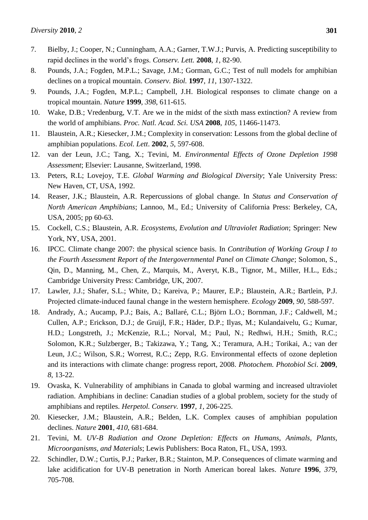- 7. Bielby, J.; Cooper, N.; Cunningham, A.A.; Garner, T.W.J.; Purvis, A. Predicting susceptibility to rapid declines in the world's frogs. *Conserv. Lett.* **2008**, *1*, 82-90.
- 8. Pounds, J.A.; Fogden, M.P.L.; Savage, J.M.; Gorman, G.C.; Test of null models for amphibian declines on a tropical mountain. *Conserv. Biol.* **1997**, *11*, 1307-1322.
- 9. Pounds, J.A.; Fogden, M.P.L.; Campbell, J.H. Biological responses to climate change on a tropical mountain. *Nature* **1999**, *398*, 611-615.
- 10. Wake, D.B.; Vredenburg, V.T. Are we in the midst of the sixth mass extinction? A review from the world of amphibians. *Proc. Natl. Acad. Sci. USA* **2008**, *105*, 11466-11473.
- 11. Blaustein, A.R.; Kiesecker, J.M.; Complexity in conservation: Lessons from the global decline of amphibian populations. *Ecol. Lett*. **2002**, *5*, 597-608.
- 12. van der Leun, J.C.; Tang, X.; Tevini, M. *Environmental Effects of Ozone Depletion 1998 Assessment*; Elsevier: Lausanne, Switzerland, 1998.
- 13. Peters, R.L; Lovejoy, T.E. *Global Warming and Biological Diversity*; Yale University Press: New Haven, CT, USA, 1992.
- 14. Reaser, J.K.; Blaustein, A.R. Repercussions of global change. In *Status and Conservation of North American Amphibians*; Lannoo, M., Ed.; University of California Press: Berkeley, CA, USA, 2005; pp 60-63.
- 15. Cockell, C.S.; Blaustein, A.R. *Ecosystems, Evolution and Ultraviolet Radiation*; Springer: New York, NY, USA, 2001.
- 16. IPCC. Climate change 2007: the physical science basis. In *Contribution of Working Group I to the Fourth Assessment Report of the Intergovernmental Panel on Climate Change*; Solomon, S., Qin, D., Manning, M., Chen, Z., Marquis, M., Averyt, K.B., Tignor, M., Miller, H.L., Eds.; Cambridge University Press: Cambridge, UK, 2007.
- 17. Lawler, J.J.; Shafer, S.L.; White, D.; Kareiva, P.; Maurer, E.P.; Blaustein, A.R.; Bartlein, P.J. Projected climate-induced faunal change in the western hemisphere. *Ecology* **2009**, *90*, 588-597.
- 18. Andrady, A.; Aucamp, P.J.; Bais, A.; Ballaré, C.L.; Björn L.O.; Bornman, J.F.; [Caldwell, M.](http://www.ncbi.nlm.nih.gov/pubmed?term=%22Caldwell%20M%22%5BAuthor%5D&itool=EntrezSystem2.PEntrez.Pubmed.Pubmed_ResultsPanel.Pubmed_RVAbstract); [Cullen, A.P.](http://www.ncbi.nlm.nih.gov/pubmed?term=%22Cullen%20AP%22%5BAuthor%5D&itool=EntrezSystem2.PEntrez.Pubmed.Pubmed_ResultsPanel.Pubmed_RVAbstract); [Erickson, D.J.](http://www.ncbi.nlm.nih.gov/pubmed?term=%22Erickson%20DJ%22%5BAuthor%5D&itool=EntrezSystem2.PEntrez.Pubmed.Pubmed_ResultsPanel.Pubmed_RVAbstract); [de Gruijl, F.R.](http://www.ncbi.nlm.nih.gov/pubmed?term=%22de%20Gruijl%20FR%22%5BAuthor%5D&itool=EntrezSystem2.PEntrez.Pubmed.Pubmed_ResultsPanel.Pubmed_RVAbstract); [Häder, D.P.](http://www.ncbi.nlm.nih.gov/pubmed?term=%22H%C3%A4der%20DP%22%5BAuthor%5D&itool=EntrezSystem2.PEntrez.Pubmed.Pubmed_ResultsPanel.Pubmed_RVAbstract); Ilyas, M.; [Kulandaivelu, G.](http://www.ncbi.nlm.nih.gov/pubmed?term=%22Kulandaivelu%20G%22%5BAuthor%5D&itool=EntrezSystem2.PEntrez.Pubmed.Pubmed_ResultsPanel.Pubmed_RVAbstract); [Kumar,](http://www.ncbi.nlm.nih.gov/pubmed?term=%22Kumar%20HD%22%5BAuthor%5D&itool=EntrezSystem2.PEntrez.Pubmed.Pubmed_ResultsPanel.Pubmed_RVAbstract)  [H.D.](http://www.ncbi.nlm.nih.gov/pubmed?term=%22Kumar%20HD%22%5BAuthor%5D&itool=EntrezSystem2.PEntrez.Pubmed.Pubmed_ResultsPanel.Pubmed_RVAbstract); [Longstreth, J.](http://www.ncbi.nlm.nih.gov/pubmed?term=%22Longstreth%20J%22%5BAuthor%5D&itool=EntrezSystem2.PEntrez.Pubmed.Pubmed_ResultsPanel.Pubmed_RVAbstract); [McKenzie, R.L.](http://www.ncbi.nlm.nih.gov/pubmed?term=%22McKenzie%20RL%22%5BAuthor%5D&itool=EntrezSystem2.PEntrez.Pubmed.Pubmed_ResultsPanel.Pubmed_RVAbstract); [Norval, M.](http://www.ncbi.nlm.nih.gov/pubmed?term=%22Norval%20M%22%5BAuthor%5D&itool=EntrezSystem2.PEntrez.Pubmed.Pubmed_ResultsPanel.Pubmed_RVAbstract); [Paul, N.](http://www.ncbi.nlm.nih.gov/pubmed?term=%22Paul%20N%22%5BAuthor%5D&itool=EntrezSystem2.PEntrez.Pubmed.Pubmed_ResultsPanel.Pubmed_RVAbstract); [Redhwi, H.H.](http://www.ncbi.nlm.nih.gov/pubmed?term=%22Redhwi%20HH%22%5BAuthor%5D&itool=EntrezSystem2.PEntrez.Pubmed.Pubmed_ResultsPanel.Pubmed_RVAbstract); [Smith, R.C.](http://www.ncbi.nlm.nih.gov/pubmed?term=%22Smith%20RC%22%5BAuthor%5D&itool=EntrezSystem2.PEntrez.Pubmed.Pubmed_ResultsPanel.Pubmed_RVAbstract); [Solomon, K.R.](http://www.ncbi.nlm.nih.gov/pubmed?term=%22Solomon%20KR%22%5BAuthor%5D&itool=EntrezSystem2.PEntrez.Pubmed.Pubmed_ResultsPanel.Pubmed_RVAbstract); [Sulzberger, B.](http://www.ncbi.nlm.nih.gov/pubmed?term=%22Sulzberger%20B%22%5BAuthor%5D&itool=EntrezSystem2.PEntrez.Pubmed.Pubmed_ResultsPanel.Pubmed_RVAbstract); [Takizawa, Y.](http://www.ncbi.nlm.nih.gov/pubmed?term=%22Takizawa%20Y%22%5BAuthor%5D&itool=EntrezSystem2.PEntrez.Pubmed.Pubmed_ResultsPanel.Pubmed_RVAbstract); [Tang, X.](http://www.ncbi.nlm.nih.gov/pubmed?term=%22Tang%20X%22%5BAuthor%5D&itool=EntrezSystem2.PEntrez.Pubmed.Pubmed_ResultsPanel.Pubmed_RVAbstract); [Teramura, A.H.](http://www.ncbi.nlm.nih.gov/pubmed?term=%22Teramura%20AH%22%5BAuthor%5D&itool=EntrezSystem2.PEntrez.Pubmed.Pubmed_ResultsPanel.Pubmed_RVAbstract); [Torikai,](http://www.ncbi.nlm.nih.gov/pubmed?term=%22Torikai%20A%22%5BAuthor%5D&itool=EntrezSystem2.PEntrez.Pubmed.Pubmed_ResultsPanel.Pubmed_RVAbstract) A.; [van der](http://www.ncbi.nlm.nih.gov/pubmed?term=%22van%20der%20Leun%20JC%22%5BAuthor%5D&itool=EntrezSystem2.PEntrez.Pubmed.Pubmed_ResultsPanel.Pubmed_RVAbstract)  [Leun, J.C.](http://www.ncbi.nlm.nih.gov/pubmed?term=%22van%20der%20Leun%20JC%22%5BAuthor%5D&itool=EntrezSystem2.PEntrez.Pubmed.Pubmed_ResultsPanel.Pubmed_RVAbstract); [Wilson, S.R.](http://www.ncbi.nlm.nih.gov/pubmed?term=%22Wilson%20SR%22%5BAuthor%5D&itool=EntrezSystem2.PEntrez.Pubmed.Pubmed_ResultsPanel.Pubmed_RVAbstract); Worrest, R.C.; [Zepp, R.G.](http://www.ncbi.nlm.nih.gov/pubmed?term=%22Zepp%20RG%22%5BAuthor%5D&itool=EntrezSystem2.PEntrez.Pubmed.Pubmed_ResultsPanel.Pubmed_RVAbstract) Environmental effects of ozone depletion and its interactions with climate change: progress report, 2008. *Photochem. Photobiol Sci*. **2009**, *8*, 13-22.
- 19. Ovaska, K. Vulnerability of amphibians in Canada to global warming and increased ultraviolet radiation. Amphibians in decline: Canadian studies of a global problem, society for the study of amphibians and reptiles. *Herpetol. Conserv.* **1997**, *1*, 206-225.
- 20. Kiesecker, J.M.; Blaustein, A.R.; Belden, L.K. Complex causes of amphibian population declines. *Nature* **2001**, *410*, 681-684.
- 21. Tevini, M. *UV-B Radiation and Ozone Depletion: Effects on Humans, Animals, Plants, Microorganisms, and Materials*; Lewis Publishers: Boca Raton, FL, USA, 1993.
- 22. Schindler, D.W.; Curtis, P.J.; Parker, B.R.; Stainton, M.P. Consequences of climate warming and lake acidification for UV-B penetration in North American boreal lakes. *Nature* **1996**, *379*, 705-708.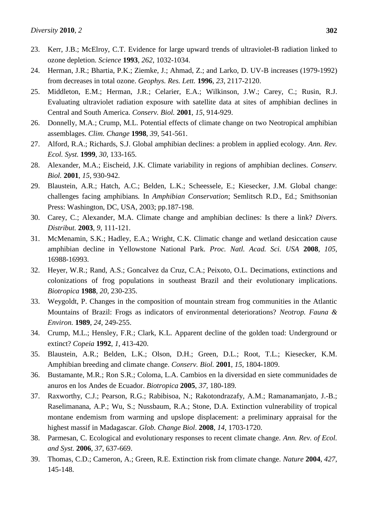- 23. Kerr, J.B.; McElroy, C.T. Evidence for large upward trends of ultraviolet-B radiation linked to ozone depletion. *Science* **1993**, *262*, 1032-1034.
- 24. Herman, J.R.; Bhartia, P.K.; Ziemke, J.; Ahmad, Z.; and Larko, D. UV-B increases (1979-1992) from decreases in total ozone. *Geophys. Res. Lett.* **1996**, *23*, 2117-2120.
- 25. Middleton, E.M.; Herman, J.R.; Celarier, E.A.; Wilkinson, J.W.; Carey, C.; Rusin, R.J. Evaluating ultraviolet radiation exposure with satellite data at sites of amphibian declines in Central and South America. *Conserv. Biol.* **2001**, *15*, 914-929.
- 26. Donnelly, M.A.; Crump, M.L. Potential effects of climate change on two Neotropical amphibian assemblages. *Clim. Change* **1998**, *39*, 541-561.
- 27. Alford, R.A.; Richards, S.J. Global amphibian declines: a problem in applied ecology. *Ann. Rev. Ecol. Syst.* **1999**, *30*, 133-165.
- 28. Alexander, M.A.; Eischeid, J.K. Climate variability in regions of amphibian declines. *Conserv. Biol.* **2001**, *15*, 930-942.
- 29. Blaustein, A.R.; Hatch, A.C.; Belden, L.K.; Scheessele, E.; Kiesecker, J.M. Global change: challenges facing amphibians*.* In *Amphibian Conservation*; Semlitsch R.D., Ed.; Smithsonian Press: Washington, DC, USA, 2003; pp.187-198.
- 30. Carey, C.; Alexander, M.A. Climate change and amphibian declines: Is there a link? *Divers. Distribut.* **2003**, *9*, 111-121.
- 31. McMenamin, S.K.; Hadley, E.A.; Wright, C.K. Climatic change and wetland desiccation cause amphibian decline in Yellowstone National Park. *Proc. Natl. Acad. Sci. USA* **2008**, *105*, 16988-16993.
- 32. Heyer, W.R.; Rand, A.S.; Goncalvez da Cruz, C.A.; Peixoto, O.L. Decimations, extinctions and colonizations of frog populations in southeast Brazil and their evolutionary implications. *Biotropica* **1988**, *20*, 230-235.
- 33. Weygoldt, P. Changes in the composition of mountain stream frog communities in the Atlantic Mountains of Brazil: Frogs as indicators of environmental deteriorations? *Neotrop. Fauna & Environ.* **1989**, *24*, 249-255.
- 34. Crump, M.L.; Hensley, F.R.; Clark, K.L. Apparent decline of the golden toad: Underground or extinct? *Copeia* **1992**, *1*, 413-420.
- 35. Blaustein, A.R.; Belden, L.K.; Olson, D.H.; Green, D.L.; Root, T.L.; Kiesecker, K.M. Amphibian breeding and climate change. *Conserv. Biol.* **2001**, *15*, 1804-1809.
- 36. Bustamante, M.R.; Ron S.R.; Coloma, L.A. Cambios en la diversidad en siete communidades de anuros en los Andes de Ecuador. *Biotropica* **2005**, *37,* 180-189*.*
- 37. Raxworthy, C.J.; Pearson, R.G.; Rabibisoa, N.; Rakotondrazafy, A.M.; Ramanamanjato, J.-B.; Raselimanana, A.P.; Wu, S.; Nussbaum, R.A.; Stone, D.A. Extinction vulnerability of tropical montane endemism from warming and upslope displacement: a preliminary appraisal for the highest massif in Madagascar. *Glob. Change Biol*. **2008**, *14*, 1703-1720.
- 38. Parmesan, C. Ecological and evolutionary responses to recent climate change. *Ann. Rev. of Ecol. and Syst.* **2006**, *37*, 637-669.
- 39. Thomas, C.D.; Cameron, A.; Green, R.E. Extinction risk from climate change. *Nature* **2004**, *427*, 145-148.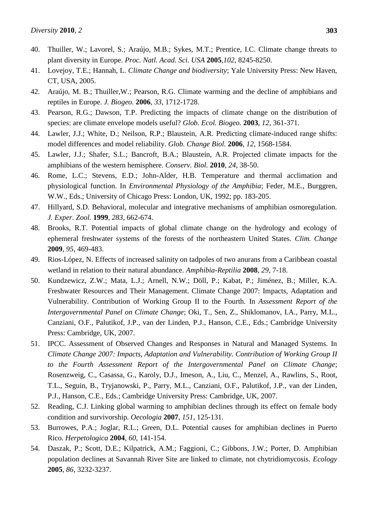- 40. Thuiller, W.; Lavorel, S.; Araújo, M.B.; Sykes, M.T.; Prentice, I.C. Climate change threats to plant diversity in Europe. *Proc. Natl. Acad. Sci. USA* **2005**,*102*, 8245-8250.
- 41. Lovejoy, T.E.; Hannah, L. *Climate Change and biodiversity*; Yale University Press: New Haven, CT, USA, 2005.
- 42. Araújo, M. B.; Thuiller,W.; Pearson, R.G. Climate warming and the decline of amphibians and reptiles in Europe*. J. Biogeo.* **2006**, *33*, 1712-1728.
- 43. Pearson, R.G.; Dawson, T.P. Predicting the impacts of climate change on the distribution of species: are climate envelope models useful? *Glob. Ecol. Biogeo.* **2003**, *12*, 361-371.
- 44. Lawler, J.J.; White, D.; Neilson, R.P.; Blaustein, A.R. Predicting climate-induced range shifts: model differences and model reliability. *Glob. Change Biol.* **2006**, *12*, 1568-1584.
- 45. Lawler, J.J.; Shafer, S.L.; Bancroft, B.A.; Blaustein, A.R. Projected climate impacts for the amphibians of the western hemisphere. *Conserv. Biol.* **2010**, *24*, 38-50.
- 46. Rome, L.C.; Stevens, E.D.; John-Alder, H.B. Temperature and thermal acclimation and physiological function. In *Environmental Physiology of the Amphibia*; Feder, M.E., Burggren, W.W., Eds.; University of Chicago Press: London, UK, 1992; pp. 183-205.
- 47. Hillyard, S.D. Behavioral, molecular and integrative mechanisms of amphibian osmoregulation. *J. Exper. Zool.* **1999**, *283*, 662-674.
- 48. Brooks, R.T. Potential impacts of global climate change on the hydrology and ecology of ephemeral freshwater systems of the forests of the northeastern United States. *Clim. Change* **2009**, *95*, 469-483.
- 49. Rios-López, N. Effects of increased salinity on tadpoles of two anurans from a Caribbean coastal wetland in relation to their natural abundance. *Amphibia-Reptilia* **2008**, *29*, 7-18.
- 50. Kundzewicz, Z.W.; Mata, L.J.; Arnell, N.W.; Döll, P.; Kabat, P.; Jiménez, B.; Miller, K.A. Freshwater Resources and Their Management. Climate Change 2007: Impacts, Adaptation and Vulnerability. Contribution of Working Group II to the Fourth. In *Assessment Report of the Intergovernmental Panel on Climate Change*; Oki, T., Sen, Z., Shiklomanov, I.A., Parry, M.L., Canziani, O.F., Palutikof, J.P., van der Linden, P.J., Hanson, C.E., Eds.; Cambridge University Press: Cambridge, UK, 2007.
- 51. IPCC. Assessment of Observed Changes and Responses in Natural and Managed Systems. In *Climate Change 2007: Impacts, Adaptation and Vulnerability. Contribution of Working Group II to the Fourth Assessment Report of the Intergovernmental Panel on Climate Change*; Rosenzweig, C., Casassa, G., Karoly, D.J., Imeson, A., Liu, C., Menzel, A., Rawlins, S., Root, T.L., Seguin, B., Tryjanowski, P., Parry, M.L., Canziani, O.F., Palutikof, J.P., van der Linden, P.J., Hanson, C.E., Eds.; Cambridge University Press: Cambridge, UK, 2007.
- 52. Reading, C.J. Linking global warming to amphibian declines through its effect on female body condition and survivorship*. Oecologia* **2007**, *151*, 125-131.
- 53. Burrowes, P.A.; Joglar, R.L.; Green, D.L. Potential causes for amphibian declines in Puerto Rico. *Herpetologica* **2004**, *60*, 141-154.
- 54. Daszak, P.; Scott, D.E.; Kilpatrick, A.M.; Faggioni, C.; Gibbons, J.W.; Porter, D. Amphibian population declines at Savannah River Site are linked to climate, not chytridiomycosis. *Ecology* **2005**, *86*, 3232-3237.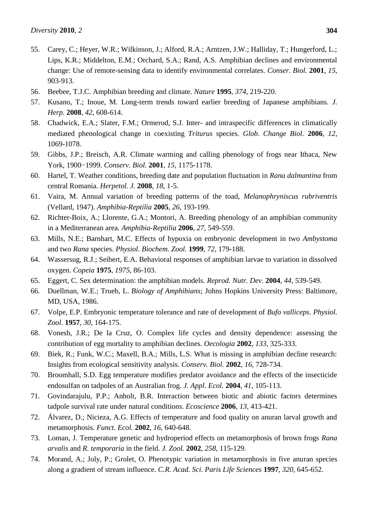- 55. Carey, C.; Heyer, W.R.; Wilkinson, J.; Alford, R.A.; Arntzen, J.W.; Halliday, T.; Hungerford, L.; Lips, K.R.; Middelton, E.M.; Orchard, S.A.; Rand, A.S. Amphibian declines and environmental change: Use of remote-sensing data to identify environmental correlates. *Conser. Biol.* **2001**, *15*, 903-913.
- 56. Beebee, T.J.C. Amphibian breeding and climate. *Nature* **1995**, *374*, 219-220.
- 57. Kusano, T.; Inoue, M. Long-term trends toward earlier breeding of Japanese amphibians. *J. Herp.* **2008**, *42*, 608-614.
- 58. Chadwick, E.A.; Slater, F.M.; Ormerod, S.J. Inter- and intraspecific differences in climatically mediated phenological change in coexisting *Triturus* species. *Glob. Change Biol.* **2006**, *12*, 1069-1078.
- 59. Gibbs, J.P.; Breisch, A.R. Climate warming and calling phenology of frogs near Ithaca, New York, 1900−1999. *Conserv. Biol.* **2001**, *15*, 1175-1178.
- 60. Hartel, T. Weather conditions, breeding date and population fluctuation in *Rana dalmantina* from central Romania. *Herpetol. J.* **2008**, *18*, 1-5.
- 61. Vaira, M. Annual variation of breeding patterns of the toad, *Melanophryniscus rubriventris* (Vellard, 1947). *Amphibia-Reptilia* **2005**, *26*, 193-199.
- 62. Richter-Boix, A.; Llorente, G.A.; Montori, A. Breeding phenology of an amphibian community in a Mediterranean area. *Amphibia-Reptilia* **2006**, *27*, 549-559.
- 63. Mills, N.E.; Barnhart, M.C. Effects of hypoxia on embryonic development in two *Ambystoma* and two *Rana* species. *Physiol. Biochem. Zool.* **1999**, *72*, 179-188.
- 64. Wassersug, R.J.; Seibert, E.A. Behavioral responses of amphibian larvae to variation in dissolved oxygen. *Copeia* **1975**, *1975*, 86-103.
- 65. Eggert, C. Sex determination: the amphibian models. *Reprod. Nutr. Dev.* **2004**, *44*, 539-549.
- 66. Duellman, W.E.; Trueb, L. *Biology of Amphibians*; Johns Hopkins University Press: Baltimore, MD, USA, 1986.
- 67. Volpe, E.P. Embryonic temperature tolerance and rate of development of *Bufo valliceps*. *Physiol. Zool.* **1957**, *30*, 164-175.
- 68. Vonesh, J.R.; De la Cruz, O. Complex life cycles and density dependence: assessing the contribution of egg mortality to amphibian declines. *Oecologia* **2002**, *133*, 325-333.
- 69. Biek, R.; Funk, W.C.; Maxell, B.A.; Mills, L.S. What is missing in amphibian decline research: Insights from ecological sensitivity analysis. *Conserv. Biol.* **2002**, *16*, 728-734.
- 70. Broomhall, S.D. Egg temperature modifies predator avoidance and the effects of the insecticide endosulfan on tadpoles of an Australian frog. *J. Appl. Ecol.* **2004**, *41*, 105-113.
- 71. Govindarajulu, P.P.; Anholt, B.R. Interaction between biotic and abiotic factors determines tadpole survival rate under natural conditions. *Ecoscience* **2006**, *13*, 413-421.
- 72. Álvarez, D.; Nicieza, A.G. Effects of temperature and food quality on anuran larval growth and metamorphosis. *Funct. Ecol.* **2002**, *16*, 640-648.
- 73. Loman, J. Temperature genetic and hydroperiod effects on metamorphosis of brown frogs *Rana arvalis* and *R. temporaria* in the field. *J. Zool.* **2002**, *258*, 115-129.
- 74. Morand, A.; Joly, P.; Grolet, O. Phenotypic variation in metamorphosis in five anuran species along a gradient of stream influence. *C.R. Acad. Sci. Paris Life Sciences* **1997**, *320*, 645-652.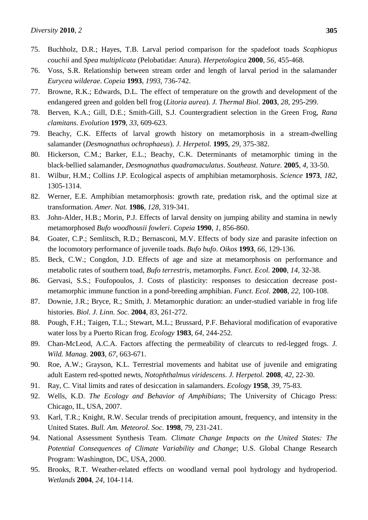- 75. Buchholz, D.R.; Hayes, T.B. Larval period comparison for the spadefoot toads *Scaphiopus couchii* and *Spea multiplicata* (Pelobatidae: Anura). *Herpetologica* **2000**, *56*, 455-468.
- 76. Voss, S.R. Relationship between stream order and length of larval period in the salamander *Eurycea wilderae*. *Copeia* **1993**, *1993*, 736-742.
- 77. Browne, R.K.; Edwards, D.L. The effect of temperature on the growth and development of the endangered green and golden bell frog (*Litoria aurea*). *J. Thermal Biol.* **2003**, *28*, 295-299.
- 78. Berven, K.A.; Gill, D.E.; Smith-Gill, S.J. Countergradient selection in the Green Frog, *Rana clamitans*. *Evolution* **1979**, *33*, 609-623.
- 79. Beachy, C.K. Effects of larval growth history on metamorphosis in a stream-dwelling salamander (*Desmognathus ochrophaeus*). *J. Herpetol.* **1995**, *29*, 375-382.
- 80. Hickerson, C.M.; Barker, E.L.; Beachy, C.K. Determinants of metamorphic timing in the black-bellied salamander, *Desmognathus quadramaculatus*. *Southeast. Nature.* **2005**, *4*, 33-50.
- 81. Wilbur, H.M.; Collins J.P. Ecological aspects of amphibian metamorphosis. *Science* **1973**, *182*, 1305-1314.
- 82. Werner, E.E. Amphibian metamorphosis: growth rate, predation risk, and the optimal size at transformation. *Amer. Nat.* **1986**, *128*, 319-341.
- 83. John-Alder, H.B.; Morin, P.J. Effects of larval density on jumping ability and stamina in newly metamorphosed *Bufo woodhousii fowleri*. *Copeia* **1990**, *1*, 856-860.
- 84. Goater, C.P.; Semlitsch, R.D.; Bernasconi, M.V. Effects of body size and parasite infection on the locomotory performance of juvenile toads. *Bufo bufo*. *Oikos* **1993**, *66*, 129-136.
- 85. Beck, C.W.; Congdon, J.D. Effects of age and size at metamorphosis on performance and metabolic rates of southern toad, *Bufo terrestris*, metamorphs. *Funct. Ecol.* **2000**, *14*, 32-38.
- 86. Gervasi, S.S.; Foufopoulos, J. Costs of plasticity: responses to desiccation decrease postmetamorphic immune function in a pond-breeding amphibian. *Funct. Ecol.* **2008**, *22*, 100-108.
- 87. Downie, J.R.; Bryce, R.; Smith, J. Metamorphic duration: an under-studied variable in frog life histories. *Biol. J. Linn. Soc.* **2004**, *83*, 261-272.
- 88. Pough, F.H.; Taigen, T.L.; Stewart, M.L.; Brussard, P.F. Behavioral modification of evaporative water loss by a Puerto Rican frog. *Ecology* **1983**, *64*, 244-252.
- 89. Chan-McLeod, A.C.A. Factors affecting the permeability of clearcuts to red-legged frogs. *J. Wild. Manag.* **2003**, *67*, 663-671.
- 90. Roe, A.W.; Grayson, K.L. Terrestrial movements and habitat use of juvenile and emigrating adult Eastern red-spotted newts, *Notophthalmus viridescens*. *J. Herpetol.* **2008**, *42*, 22-30.
- 91. Ray, C. Vital limits and rates of desiccation in salamanders. *Ecology* **1958**, *39*, 75-83.
- 92. Wells, K.D. *The Ecology and Behavior of Amphibians*; The University of Chicago Press: Chicago, IL, USA, 2007.
- 93. Karl, T.R.; Knight, R.W. Secular trends of precipitation amount, frequency, and intensity in the United States. *Bull. Am. Meteorol. Soc.* **1998**, *79*, 231-241.
- 94. National Assessment Synthesis Team. *Climate Change Impacts on the United States: The Potential Consequences of Climate Variability and Change*; U.S. Global Change Research Program: Washington, DC, USA, 2000.
- 95. Brooks, R.T. Weather-related effects on woodland vernal pool hydrology and hydroperiod. *Wetlands* **2004**, *24*, 104-114.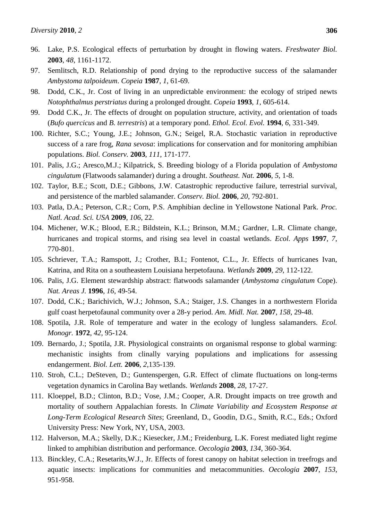- 96. Lake, P.S. Ecological effects of perturbation by drought in flowing waters. *Freshwater Biol.* **2003**, *48*, 1161-1172.
- 97. Semlitsch, R.D. Relationship of pond drying to the reproductive success of the salamander *Ambystoma talpoideum*. *Copeia* **1987**, *1*, 61-69.
- 98. Dodd, C.K., Jr. Cost of living in an unpredictable environment: the ecology of striped newts *Notophthalmus perstriatus* during a prolonged drought. *Copeia* **1993**, *1*, 605-614.
- 99. Dodd C.K., Jr. The effects of drought on population structure, activity, and orientation of toads (*Bufo quercicus* and *B. terrestris*) at a temporary pond. *Ethol. Ecol. Evol.* **1994**, *6*, 331-349.
- 100. Richter, S.C.; Young, J.E.; Johnson, G.N.; Seigel, R.A. Stochastic variation in reproductive success of a rare frog, *Rana sevosa*: implications for conservation and for monitoring amphibian populations. *Biol. Conserv.* **2003**, *111*[, 171-177.](http://people.eku.edu/richters/pdfs/richter.etal03.pdf)
- 101. Palis, J.G.; Aresco,M.J.; Kilpatrick, S. Breeding biology of a Florida population of *Ambystoma cingulatum* (Flatwoods salamander) during a drought. *Southeast. Nat.* **2006**, *5*, 1-8.
- 102. Taylor, B.E.; Scott, D.E.; Gibbons, J.W. Catastrophic reproductive failure, terrestrial survival, and persistence of the marbled salamander. *Conserv. Biol.* **2006**, *20*, 792-801.
- 103. Patla, D.A.; Peterson, C.R.; Corn, P.S. Amphibian decline in Yellowstone National Park. *Proc. Natl. Acad. Sci. USA* **2009**, *106*, 22.
- 104. Michener, W.K.; Blood, E.R.; Bildstein, K.L.; Brinson, M.M.; Gardner, L.R. Climate change, hurricanes and tropical storms, and rising sea level in coastal wetlands. *Ecol. Apps* **1997**, *7*, 770-801.
- 105. Schriever, T.A.; Ramspott, J.; Crother, B.I.; Fontenot, C.L., Jr. Effects of hurricanes Ivan, Katrina, and Rita on a southeastern Louisiana herpetofauna. *Wetlands* **2009**, *29*, 112-122.
- 106. Palis, J.G. Element stewardship abstract: flatwoods salamander (*Ambystoma cingulatum* Cope). *Nat. Areas J.* **1996**, *16*, 49-54.
- 107. Dodd, C.K.; Barichivich, W.J.; Johnson, S.A.; Staiger, J.S. Changes in a northwestern Florida gulf coast herpetofaunal community over a 28-y period. *Am. Midl. Nat.* **2007**, *158*, 29-48.
- 108. Spotila, J.R. Role of temperature and water in the ecology of lungless salamanders. *Ecol. Monogr.* **1972**, *42*, 95-124.
- 109. Bernardo, J.; Spotila, J.R. Physiological constraints on organismal response to global warming: mechanistic insights from clinally varying populations and implications for assessing endangerment. *Biol. Lett.* **2006**, *2*,135-139.
- 110. Stroh, C.L.; DeSteven, D.; Guntenspergen, G.R. Effect of climate fluctuations on long-terms vegetation dynamics in Carolina Bay wetlands. *Wetlands* **2008**, *28*, 17-27.
- 111. Kloeppel, B.D.; Clinton, B.D.; Vose, J.M.; Cooper, A.R. Drought impacts on tree growth and mortality of southern Appalachian forests*.* In *Climate Variability and Ecosystem Response at Long-Term Ecological Research Sites*; Greenland, D., Goodin, D.G., Smith, R.C., Eds.; Oxford University Press: New York, NY, USA, 2003.
- 112. Halverson, M.A.; Skelly, D.K.; Kiesecker, J.M.; Freidenburg, L.K. Forest mediated light regime linked to amphibian distribution and performance. *Oecologia* **2003**, *134*, 360-364.
- 113. Binckley, C.A.; Resetarits,W.J., Jr. Effects of forest canopy on habitat selection in treefrogs and aquatic insects: implications for communities and metacommunities. *Oecologia* **2007**, *153*, 951-958.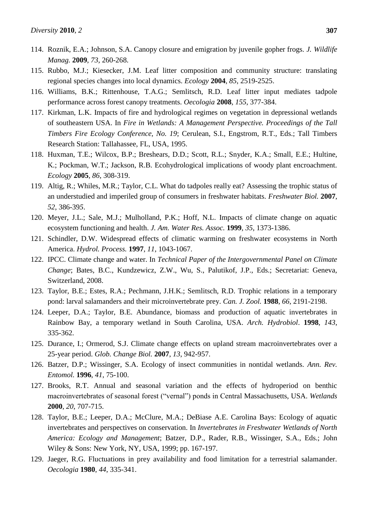- 114. Roznik, E.A.; Johnson, S.A. Canopy closure and emigration by juvenile gopher frogs. *J. Wildlife Manag.* **2009**, *73*, 260-268.
- 115. Rubbo, M.J.; Kiesecker, J.M. Leaf litter composition and community structure: translating regional species changes into local dynamics. *Ecology* **2004**, *85*, 2519-2525.
- 116. Williams, B.K.; Rittenhouse, T.A.G.; Semlitsch, R.D. Leaf litter input mediates tadpole performance across forest canopy treatments. *Oecologia* **2008**, *155*, 377-384.
- 117. Kirkman, L.K. Impacts of fire and hydrological regimes on vegetation in depressional wetlands of southeastern USA. In *Fire in Wetlands: A Management Perspective. Proceedings of the Tall Timbers Fire Ecology Conference, No. 19*; Cerulean, S.I., Engstrom, R.T., Eds.; Tall Timbers Research Station: Tallahassee, FL, USA, 1995.
- 118. Huxman, T.E.; Wilcox, B.P.; Breshears, D.D.; Scott, R.L.; Snyder, K.A.; Small, E.E.; Hultine, K.; Pockman, W.T.; Jackson, R.B. Ecohydrological implications of woody plant encroachment. *Ecology* **2005**, *86*, 308-319.
- 119. Altig, R.; Whiles, M.R.; Taylor, C.L. What do tadpoles really eat? Assessing the trophic status of an understudied and imperiled group of consumers in freshwater habitats. *Freshwater Biol.* **2007**, *52*, 386-39*5*.
- 120. Meyer, J.L.; Sale, M.J.; Mulholland, P.K.; Hoff, N.L. Impacts of climate change on aquatic ecosystem functioning and health. *J. Am. Water Res. Assoc.* **1999**, *35*, 1373-1386.
- 121. Schindler, D.W. Widespread effects of climatic warming on freshwater ecosystems in North America. *Hydrol. Process.* **1997**, *11*, 1043-1067.
- 122. IPCC. Climate change and water. In *Technical Paper of the Intergovernmental Panel on Climate Change*; Bates, B.C., Kundzewicz, Z.W., Wu, S., Palutikof, J.P., Eds.; Secretariat: Geneva, Switzerland, 2008.
- 123. Taylor, B.E.; Estes, R.A.; Pechmann, J.H.K.; Semlitsch, R.D. Trophic relations in a temporary pond: larval salamanders and their microinvertebrate prey. *Can. J. Zool.* **1988**, *66*, 2191-2198.
- 124. Leeper, D.A.; Taylor, B.E. Abundance, biomass and production of aquatic invertebrates in Rainbow Bay, a temporary wetland in South Carolina, USA. *Arch. Hydrobiol*. **1998**, *143*, 335-362.
- 125. Durance, I.; Ormerod, S.J. Climate change effects on upland stream macroinvertebrates over a 25-year period. *Glob. Change Biol.* **2007**, *13*, 942-957.
- 126. Batzer, D.P.; Wissinger, S.A. Ecology of insect communities in nontidal wetlands. *Ann. Rev. Entomol.* **1996**, *41*, 75-100.
- 127. Brooks, R.T. Annual and seasonal variation and the effects of hydroperiod on benthic macroinvertebrates of seasonal forest ("vernal") ponds in Central Massachusetts, USA. *Wetlands* **2000**, *20*, 707-715.
- 128. Taylor, B.E.; Leeper, D.A.; McClure, M.A.; DeBiase A.E. Carolina Bays: Ecology of aquatic invertebrates and perspectives on conservation. In *Invertebrates in Freshwater Wetlands of North America: Ecology and Management*; Batzer, D.P., Rader, R.B., Wissinger, S.A., Eds.; John Wiley & Sons: New York, NY, USA, 1999; pp. 167-197.
- 129. Jaeger, R.G. Fluctuations in prey availability and food limitation for a terrestrial salamander. *Oecologia* **1980**, *44*, 335-341.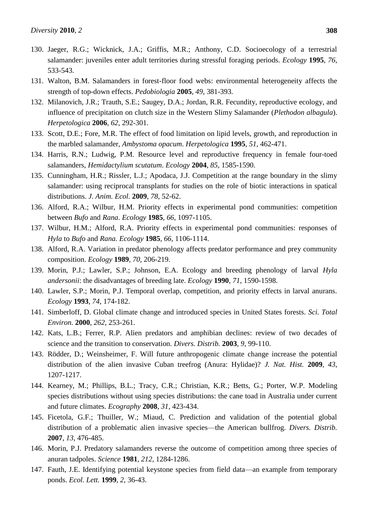- 130. Jaeger, R.G.; Wicknick, J.A.; Griffis, M.R.; Anthony, C.D. Socioecology of a terrestrial salamander: juveniles enter adult territories during stressful foraging periods. *Ecology* **1995**, *76*, 533-543.
- 131. Walton, B.M. Salamanders in forest-floor food webs: environmental heterogeneity affects the strength of top-down effects. *Pedobiologia* **2005**, *49*, 381-393.
- 132. Milanovich, J.R.; Trauth, S.E.; Saugey, D.A.; Jordan, R.R. Fecundity, reproductive ecology, and influence of precipitation on clutch size in the Western Slimy Salamander (*Plethodon albagula*). *Herpetologica* **2006**, *62*, 292-301.
- 133. Scott, D.E.; Fore, M.R. The effect of food limitation on lipid levels, growth, and reproduction in the marbled salamander, *Ambystoma opacum*. *Herpetologica* **1995**, *51*, 462-471.
- 134. Harris, R.N.; Ludwig, P.M. Resource level and reproductive frequency in female four-toed salamanders, *Hemidactylium scutatum*. *Ecology* **2004**, *85*, 1585-1590.
- 135. Cunningham, H.R.; Rissler, L.J.; Apodaca, J.J. Competition at the range boundary in the slimy salamander: using reciprocal transplants for studies on the role of biotic interactions in spatical distributions. *J. Anim. Ecol.* **2009**, *78*, 52-62.
- 136. Alford, R.A.; Wilbur, H.M. Priority effects in experimental pond communities: competition between *Bufo* and *Rana*. *Ecology* **1985**, *66*, 1097-1105.
- 137. Wilbur, H.M.; Alford, R.A. Priority effects in experimental pond communities: responses of *Hyla* to *Bufo* and *Rana*. *Ecology* **1985**, *66*, 1106-1114.
- 138. Alford, R.A. Variation in predator phenology affects predator performance and prey community composition. *Ecology* **1989**, *70*, 206-219.
- 139. Morin, P.J.; Lawler, S.P.; Johnson, E.A. Ecology and breeding phenology of larval *Hyla andersonii*: the disadvantages of breeding late. *Ecology* **1990**, *71*, 1590-1598.
- 140. Lawler, S.P.; Morin, P.J. Temporal overlap, competition, and priority effects in larval anurans. *Ecology* **1993**, *74*, 174-182.
- 141. Simberloff, D. Global climate change and introduced species in United States forests. *Sci. Total Environ.* **2000**, *262*, 253-261.
- 142. Kats, L.B.; Ferrer, R.P. Alien predators and amphibian declines: review of two decades of science and the transition to conservation. *Divers. Distrib.* **2003**, *9*, 99-110.
- 143. Rödder, D.; Weinsheimer, F. Will future anthropogenic climate change increase the potential distribution of the alien invasive Cuban treefrog (Anura: Hylidae)? *J. Nat. Hist.* **2009**, *43*, 1207-1217.
- 144. Kearney, M.; Phillips, B.L.; Tracy, C.R.; Christian, K.R.; Betts, G.; Porter, W.P. Modeling species distributions without using species distributions: the cane toad in Australia under current and future climates. *Ecography* **2008**, *31*, 423-434.
- 145. Ficetola, G.F.; Thuiller, W.; Miaud, C. Prediction and validation of the potential global distribution of a problematic alien invasive species—the American bullfrog. *Divers. Distrib.*  **2007**, *13*, 476-485.
- 146. Morin, P.J. Predatory salamanders reverse the outcome of competition among three species of anuran tadpoles. *Science* **1981**, *212*, 1284-1286.
- 147. Fauth, J.E. Identifying potential keystone species from field data—an example from temporary ponds. *Ecol. Lett.* **1999**, *2*, 36-43.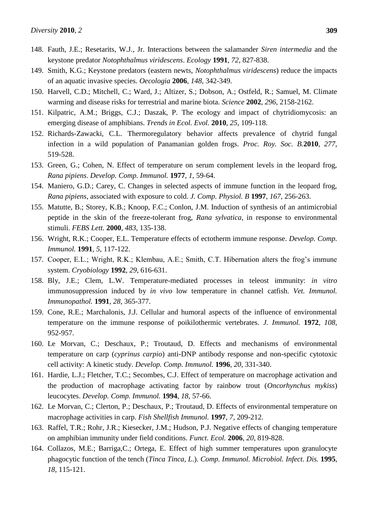- 148. Fauth, J.E.; Resetarits, W.J., Jr. Interactions between the salamander *Siren intermedia* and the keystone predator *Notophthalmus viridescens*. *Ecology* **1991**, *72*, 827-838.
- 149. Smith, K.G.; Keystone predators (eastern newts, *Notophthalmus viridescens*) reduce the impacts of an aquatic invasive species. *Oecologia* **2006**, *148*, 342-349.
- 150. Harvell, C.D.; Mitchell, C.; Ward, J.; Altizer, S.; Dobson, A.; Ostfeld, R.; Samuel, M. Climate warming and disease risks for terrestrial and marine biota. *Science* **2002**, *296*, 2158-2162.
- 151. Kilpatric, A.M.; Briggs, C.J.; Daszak, P. The ecology and impact of chytridiomycosis: an emerging disease of amphibians. *Trends in Ecol. Evol.* **2010**, *25*, 109-118.
- 152. Richards-Zawacki, C.L. Thermoregulatory behavior affects prevalence of chytrid fungal infection in a wild population of Panamanian golden frogs. *Proc. Roy. Soc. B.***2010**, *277*, 519-528.
- 153. Green, G.; Cohen, N. Effect of temperature on serum complement levels in the leopard frog, *Rana pipiens*. *Develop. Comp. Immunol.* **1977**, *1*, 59-64.
- 154. Maniero, G.D.; Carey, C. Changes in selected aspects of immune function in the leopard frog, *Rana pipiens*, associated with exposure to cold. *J. Comp. Physiol. B* **1997**, *167*, 256-263.
- 155. Matutte, B.; Storey, K.B.; Knoop, F.C.; Conlon, J.M. Induction of synthesis of an antimicrobial peptide in the skin of the freeze-tolerant frog, *Rana sylvatica*, in response to environmental stimuli. *FEBS Lett.* **2000**, *483*, 135-138.
- 156. Wright, R.K.; Cooper, E.L. Temperature effects of ectotherm immune response. *Develop. Comp. Immunol.* **1991**, *5*, 117-122.
- 157. Cooper, E.L.; Wright, R.K.; Klembau, A.E.; Smith, C.T. Hibernation alters the frog's immune system. *Cryobiology* **1992**, *29*, 616-631.
- 158. Bly, J.E.; Clem, L.W. Temperature-mediated processes in teleost immunity: *in vitro* immunosuppression induced by *in vivo* low temperature in channel catfish. *Vet. Immunol. Immunopathol.* **1991**, *28*, 365-377.
- 159. Cone, R.E.; Marchalonis, J.J. Cellular and humoral aspects of the influence of environmental temperature on the immune response of poikilothermic vertebrates. *J. Immunol.* **1972**, *108*, 952-957.
- 160. Le Morvan, C.; Deschaux, P.; Troutaud, D. Effects and mechanisms of environmental temperature on carp (*cyprinus carpio*) anti-DNP antibody response and non-specific cytotoxic cell activity: A kinetic study. *Develop. Comp. Immunol.* **1996**, *20*, 331-340.
- 161. Hardie, L.J.; Fletcher, T.C.; Secombes, C.J. Effect of temperature on macrophage activation and the production of macrophage activating factor by rainbow trout (*Oncorhynchus mykiss*) leucocytes. *Develop. Comp. Immunol.* **1994**, *18*, 57-66.
- 162. Le Morvan, C.; Clerton, P.; Deschaux, P.; Troutaud, D. Effects of environmental temperature on macrophage activities in carp. *Fish Shellfish Immunol.* **1997**, *7*, 209-212.
- 163. Raffel, T.R.; Rohr, J.R.; Kiesecker, J.M.; Hudson, P.J. Negative effects of changing temperature on amphibian immunity under field conditions. *Funct. Ecol.* **2006**, *20*, 819-828.
- 164. Collazos, M.E.; Barriga,C.; Ortega, E. Effect of high summer temperatures upon granulocyte phagocytic function of the tench (*Tinca Tinca, L*.). *Comp. Immunol. Microbiol. Infect. Dis.* **1995**, *18*, 115-121.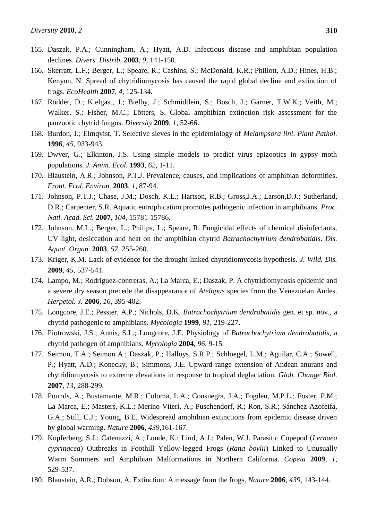- 165. Daszak, P.A.; Cunningham, A.; Hyatt, A.D. Infectious disease and amphibian population declines. *Divers. Distrib.* **2003**, *9*, 141-150.
- 166. Skerratt, L.F.; Berger, L.; Speare, R.; Cashins, S.; McDonald, K.R.; Phillott, A.D.; Hines, H.B.; Kenyon, N. Spread of chytridiomycosis has caused the rapid global decline and extinction of frogs. *EcoHealth* **2007**, *4*, 125-134.
- 167. Rödder, D.; Kielgast, J.; Bielby, J.; Schmidtlein, S.; Bosch, J.; Garner, T.W.K.; Veith, M.; Walker, S.; Fisher, M.C.; Lötters, S. Global amphibian extinction risk assessment for the panzootic chytrid fungus. *Diversity* **2009**, *1*, 52-66.
- 168. Burdon, J.; Elmqvist, T. Selective sieves in the epidemiology of *Melampsora lini*. *Plant Pathol.*  **1996**, *45*, 933-943.
- 169. Dwyer, G.; Elkinton, J.S. Using simple models to predict virus epizootics in gypsy moth populations. *J. Anim. Ecol.* **1993**, *62*, 1-11.
- 170. Blaustein, A.R.; Johnson, P.T.J. Prevalence, causes, and implications of amphibian deformities. *Front. Ecol. Environ.* **2003**, *1*, 87-94.
- 171. Johnson, P.T.J.; Chase, J.M.; Dosch, K.L.; Hartson, R.B.; Gross,J.A.; Larson,D.J.; Sutherland, D.R.; Carpenter, S.R. Aquatic eutrophication promotes pathogenic infection in amphibians. *Proc. Natl. Acad. Sci.* **2007**, *104*, 15781-15786.
- 172. Johnson, M.L.; Berger, L.; Philips, L.; Speare, R. Fungicidal effects of chemical disinfectants, UV light, desiccation and heat on the amphibian chytrid *Batrachochytrium dendrobatidis*. *Dis. Aquat. Organ.* **2003**, *57*, 255-260.
- 173. Kriger, K.M. Lack of evidence for the drought-linked chytridiomycosis hypothesis. *J. Wild. Dis.* **2009**, *45*, 537-541.
- 174. Lampo, M.; Rodríguez-contreras, A.; La Marca, E.; Daszak, P. A chytridiomycosis epidemic and a severe dry season precede the disappearance of *Atelopus* species from the Venezuelan Andes. *Herpetol. J.* **2006**, *16*, 395-402.
- 175. Longcore, J.E.; Pessier, A.P.; Nichols, D.K. *Batrachochytrium dendrobatidis* gen. et sp. nov., a chytrid pathogenic to amphibians. *Mycologia* **1999**, *91*, 219-227.
- 176. Piotrowski, J.S.; Annis, S.L.; Longcore, J.E. Physiology of *Batrachochytrium dendrobatidis*, a chytrid pathogen of amphibians. *Mycologia* **2004**, *96*, 9-15*.*
- 177. Seimon, T.A.; Seimon A.; Daszak, P.; Halloys, S.R.P.; Schloegel, L.M.; Aguilar, C.A.; Sowell, P.; Hyatt, A.D.; Konecky, B.; Simmons, J.E. Upward range extension of Andean anurans and chytridiomycosis to extreme elevations in response to tropical deglaciation. *Glob. Change Biol.*  **2007**, *13*, 288-299.
- 178. Pounds, A.; Bustamante, M.R.; Coloma, L.A.; Consuegra, J.A.; Fogden, M.P.L.; Foster, P.M.; La Marca, E.; Masters, K.L.; Merino-Viteri, A.; Puschendorf, R.; Ron, S.R.; Sánchez-Azofeifa, G.A.; Still, C.J.; Young, B.E. Widespread amphibian extinctions from epidemic disease driven by global warming. *Nature* **2006**, *439*,161-167.
- 179. Kupferberg, S.J.; Catenazzi, A.; Lunde, K.; Lind, A.J.; Palen, W.J. Parasitic Copepod (*Lernaea cyprinacea*) Outbreaks in Foothill Yellow-legged Frogs (*Rana boylii*) Linked to Unusually Warm Summers and Amphibian Malformations in Northern California. *Copeia* **2009**, *1*, 529-537.
- 180. Blaustein, A.R.; Dobson, A. Extinction: A message from the frogs. *Nature* **2006**, *439*, 143-144.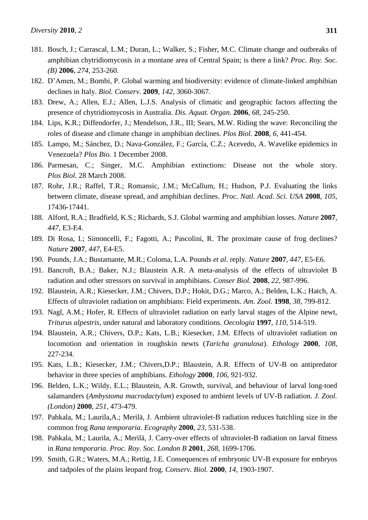- 181. Bosch, J.; Carrascal, L.M.; Duran, L.; Walker, S.; Fisher, M.C. Climate change and outbreaks of amphibian chytridiomycosis in a montane area of Central Spain; is there a link? *Proc. Roy. Soc. (B)* **2006**, *274*, 253-260.
- 182. D'Amen, M.; Bombi, P. Global warming and biodiversity: evidence of climate-linked amphibian declines in Italy. *Biol. Conserv.* **2009**, *142*, 3060-3067.
- 183. Drew, A.; Allen, E.J.; Allen, L.J.S. Analysis of climatic and geographic factors affecting the presence of chytridiomycosis in Australia. *Dis. Aquat. Organ.* **2006**, *68*, 245-250.
- 184. Lips, K.R.; Diffendorfer, J.; Mendelson, J.R., III; Sears, M.W. Riding the wave: Reconciling the roles of disease and climate change in amphibian declines. *Plos Biol.* **2008**, *6*, 441-454.
- 185. Lampo, M.; Sánchez, D.; Nava-González, F.; García, C.Z.; Acevedo, A. Wavelike epidemics in Venezuela? *Plos Bio.* 1 December 2008.
- 186. Parmesan, C.; Singer, M.C. Amphibian extinctions: Disease not the whole story. *Plos Biol.* 28 March 2008.
- 187. Rohr, J.R.; Raffel, T.R.; Romansic, J.M.; McCallum, H.; Hudson, P.J. Evaluating the links between climate, disease spread, and amphibian declines. *Proc. Natl. Acad. Sci. USA* **2008**, *105*, 17436-17441.
- 188. Alford, R.A.; Bradfield, K.S.; Richards, S.J. Global warming and amphibian losses. *Nature* **2007**, *447*, E3-E4.
- 189. Di Rosa, I.; Simoncelli, F.; Fagotti, A.; Pascolini, R. The proximate cause of frog declines? *Nature* **2007**, *447*, E4-E5.
- 190. Pounds, J.A.; Bustamante, M.R.; Coloma, L.A. Pounds *et al*. reply. *Nature* **2007**, *447*, E5-E6.
- 191. Bancroft, B.A.; Baker, N.J.; Blaustein A.R. A meta-analysis of the effects of ultraviolet B radiation and other stressors on survival in amphibians. *Conser Biol.* **2008**, *22*, 987-996.
- 192. Blaustein, A.R.; Kiesecker, J.M.; Chivers, D.P.; Hokit, D.G.; Marco, A.; Belden, L.K.; Hatch, A. Effects of ultraviolet radiation on amphibians: Field experiments. *Am. Zool.* **1998**, *38*, 799-812.
- 193. Nagl, A.M.; Hofer, R. Effects of ultraviolet radiation on early larval stages of the Alpine newt, *Triturus alpestris*, under natural and laboratory conditions. *Oecologia* **1997**, *110*, 514-519.
- 194. Blaustein, A.R.; Chivers, D.P.; Kats, L.B.; Kiesecker, J.M. Effects of ultraviolet radiation on locomotion and orientation in roughskin newts (*Taricha granulosa*). *Ethology* **2000**, *108*, 227-234.
- 195. Kats, L.B.; Kiesecker, J.M.; Chivers,D.P.; Blaustein, A.R. Effects of UV-B on antipredator behavior in three species of amphibians. *Ethology* **2000***, 106*, 921-932.
- 196. Belden, L.K.; Wildy, E.L.; Blaustein, A.R. Growth, survival, and behaviour of larval long-toed salamanders (*Ambystoma macrodactylum*) exposed to ambient levels of UV-B radiation. *J. Zool. (London)* **2000**, *251*, 473-479.
- 197. Pahkala, M.; Laurila,A.; Merilä, J. Ambient ultraviolet-B radiation reduces hatchling size in the common frog *Rana temporaria*. *Ecography* **2000**, *23*, 531-538.
- 198. Pahkala, M.; Laurila, A.; Merilä, J. Carry-over effects of ultraviolet-B radiation on larval fitness in *Rana temporaria*. *Proc. Roy. Soc. London B* **2001**, *268*, 1699-1706.
- 199. Smith, G.R.; Waters, M.A.; Rettig, J.E. Consequences of embryonic UV-B exposure for embryos and tadpoles of the plains leopard frog. *Conserv. Biol.* **2000**, *14*, 1903-1907.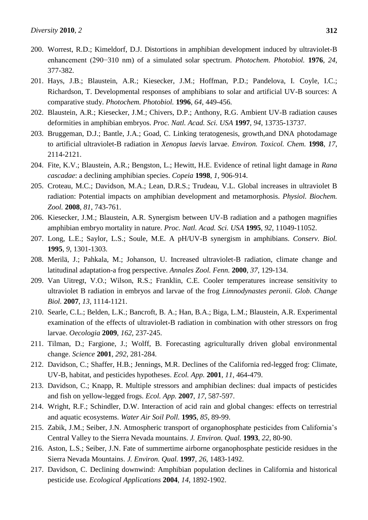- 200. Worrest, R.D.; Kimeldorf, D.J. Distortions in amphibian development induced by ultraviolet-B enhancement (290−310 nm) of a simulated solar spectrum. *Photochem. Photobiol.* **1976**, *24*, 377-382.
- 201. Hays, J.B.; Blaustein, A.R.; Kiesecker, J.M.; Hoffman, P.D.; Pandelova, I. Coyle, I.C.; Richardson, T. Developmental responses of amphibians to solar and artificial UV-B sources: A comparative study. *Photochem. Photobiol.* **1996**, *64*, 449-456.
- 202. Blaustein, A.R.; Kiesecker, J.M.; Chivers, D.P.; Anthony, R.G. Ambient UV-B radiation causes deformities in amphibian embryos. *Proc. Natl. Acad. Sci. USA* **1997**, *94*, 13735-13737.
- 203. Bruggeman, D.J.; Bantle, J.A.; Goad, C. Linking teratogenesis, growth,and DNA photodamage to artificial ultraviolet-B radiation in *Xenopus laevis* larvae. *Environ. Toxicol. Chem.* **1998**, *17*, 2114-2121.
- 204. Fite, K.V.; Blaustein, A.R.; Bengston, L.; Hewitt, H.E. Evidence of retinal light damage in *Rana cascadae*: a declining amphibian species. *Copeia* **1998**, *1*, 906-914.
- 205. Croteau, M.C.; Davidson, M.A.; Lean, D.R.S.; Trudeau, V.L. Global increases in ultraviolet B radiation: Potential impacts on amphibian development and metamorphosis. *Physiol. Biochem. Zool.* **2008**, *81*, 743-761.
- 206. Kiesecker, J.M.; Blaustein, A.R. Synergism between UV-B radiation and a pathogen magnifies amphibian embryo mortality in nature. *Proc. Natl. Acad. Sci. USA* **1995**, *92*, 11049-11052.
- 207. Long, L.E.; Saylor, L.S.; Soule, M.E. A pH/UV-B synergism in amphibians. *Conserv. Biol.* **1995**, *9*, 1301-1303.
- 208. Merilä, J.; Pahkala, M.; Johanson, U. Increased ultraviolet-B radiation, climate change and latitudinal adaptation-a frog perspective. *Annales Zool. Fenn.* **2000**, *37*, 129-134.
- 209. Van Uitregt, V.O.; Wilson, R.S.; Franklin, C.E. Cooler temperatures increase sensitivity to ultraviolet B radiation in embryos and larvae of the frog *Limnodynastes peronii. Glob. Change Biol.* **2007**, *13*, 1114-1121.
- 210. Searle, C.L.; Belden, L.K.; Bancroft, B. A.; Han, B.A.; Biga, L.M.; Blaustein, A.R. Experimental examination of the effects of ultraviolet-B radiation in combination with other stressors on frog larvae. *Oecologia* **2009**, *162*, 237-245.
- 211. Tilman, D.; Fargione, J.; Wolff, B. Forecasting agriculturally driven global environmental change. *Science* **2001**, *292*, 281-284.
- 212. Davidson, C.; Shaffer, H.B.; Jennings, M.R. Declines of the California red-legged frog: Climate, UV-B, habitat, and pesticides hypotheses. *Ecol. App.* **2001**, *11*, 464-479.
- 213. Davidson, C.; Knapp, R. Multiple stressors and amphibian declines: dual impacts of pesticides and fish on yellow-legged frogs. *Ecol. App.* **2007**, *17*, 587-597.
- 214. Wright, R.F.; Schindler, D.W. Interaction of acid rain and global changes: effects on terrestrial and aquatic ecosystems. *Water Air Soil Poll.* **1995**, *85*, 89-99.
- 215. Zabik, J.M.; Seiber, J.N. Atmospheric transport of organophosphate pesticides from California's Central Valley to the Sierra Nevada mountains. *J. Environ. Qual.* **1993**, *22*, 80-90.
- 216. Aston, L.S.; Seiber, J.N. Fate of summertime airborne organophosphate pesticide residues in the Sierra Nevada Mountains. *J. Environ. Qual.* **1997**, *26*, 1483-1492.
- 217. Davidson, C. Declining downwind: Amphibian population declines in California and historical pesticide use. *Ecological Applications* **2004**, *14*, 1892-1902.